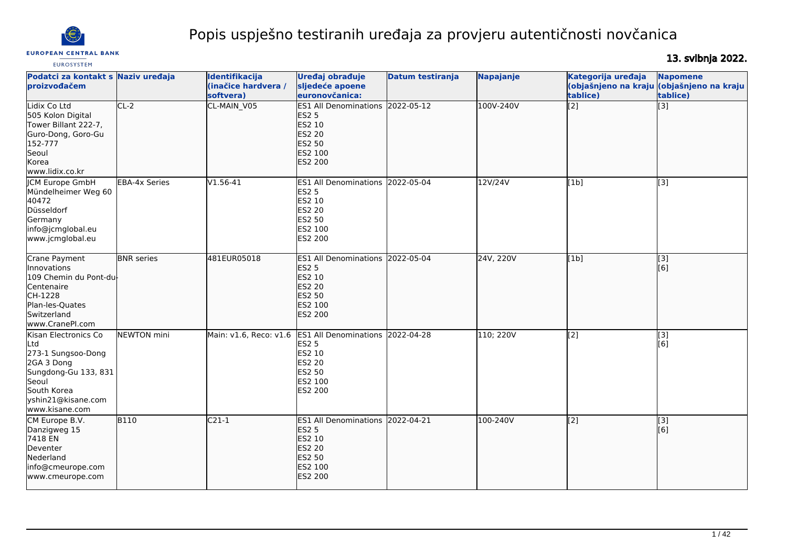

# Popis uspješno testiranih uređaja za provjeru autentičnosti novčanica

**EUROSYSTEM** 

13. svibnja 2022.

| Podatci za kontakt s Naziv uređaja<br>proizvođačem                                                                                                       |                      | Identifikacija<br>(inačice hardvera /<br>softvera) | Uređaj obrađuje<br>sljedeće apoene<br>euronovčanica:                                                                           | Datum testiranja | Napajanje | Kategorija uređaja<br>tablice) | <b>Napomene</b><br>(objašnjeno na kraju (objašnjeno na kraju<br>tablice) |
|----------------------------------------------------------------------------------------------------------------------------------------------------------|----------------------|----------------------------------------------------|--------------------------------------------------------------------------------------------------------------------------------|------------------|-----------|--------------------------------|--------------------------------------------------------------------------|
| Lidix Co Ltd<br>505 Kolon Digital<br>Tower Billant 222-7,<br>Guro-Dong, Goro-Gu<br>152-777<br>Seoul<br>Korea<br>www.lidix.co.kr                          | $CL-2$               | CL-MAIN_V05                                        | <b>ES1 All Denominations</b><br><b>ES2 5</b><br>ES2 10<br><b>ES2 20</b><br><b>ES2 50</b><br>ES2 100<br><b>ES2 200</b>          | 2022-05-12       | 100V-240V | $\overline{[2]}$               | $\overline{[3]}$                                                         |
| <b>ICM Europe GmbH</b><br>Mündelheimer Weg 60<br>40472<br>Düsseldorf<br>Germany<br>info@jcmglobal.eu<br>www.jcmglobal.eu                                 | <b>EBA-4x Series</b> | $V1.56-41$                                         | <b>ES1 All Denominations</b><br><b>ES2 5</b><br>ES2 10<br>ES2 20<br><b>ES2 50</b><br>ES2 100<br>ES2 200                        | 2022-05-04       | 12V/24V   | [1b]                           | [3]                                                                      |
| Crane Payment<br>Innovations<br>109 Chemin du Pont-du-<br>Centenaire<br>CH-1228<br>Plan-les-Quates<br>Switzerland<br>www.CranePI.com                     | <b>BNR</b> series    | 481EUR05018                                        | ES1 All Denominations 2022-05-04<br><b>ES2 5</b><br>ES2 10<br>ES2 20<br><b>ES2 50</b><br>ES2 100<br>ES2 200                    |                  | 24V, 220V | [1b]                           | $\overline{[3]}$<br>[6]                                                  |
| Kisan Electronics Co<br>lLtd<br>273-1 Sungsoo-Dong<br>2GA 3 Dong<br>Sungdong-Gu 133, 831<br>Seoul<br>South Korea<br>yshin21@kisane.com<br>www.kisane.com | <b>NEWTON</b> mini   |                                                    | Main: v1.6, Reco: v1.6 ES1 All Denominations<br><b>ES2 5</b><br>ES2 10<br>ES2 20<br><b>ES2 50</b><br>ES2 100<br><b>ES2 200</b> | 2022-04-28       | 110; 220V | $\overline{[2]}$               | $\overline{[3]}$<br>[6]                                                  |
| CM Europe B.V.<br>Danzigweg 15<br>7418 EN<br>Deventer<br>Nederland<br>info@cmeurope.com<br>www.cmeurope.com                                              | <b>B110</b>          | $C21-1$                                            | ES1 All Denominations 2022-04-21<br><b>ES2 5</b><br>ES2 10<br><b>ES2 20</b><br>ES2 50<br>ES2 100<br><b>ES2 200</b>             |                  | 100-240V  | $\overline{[2]}$               | [3]<br>[6]                                                               |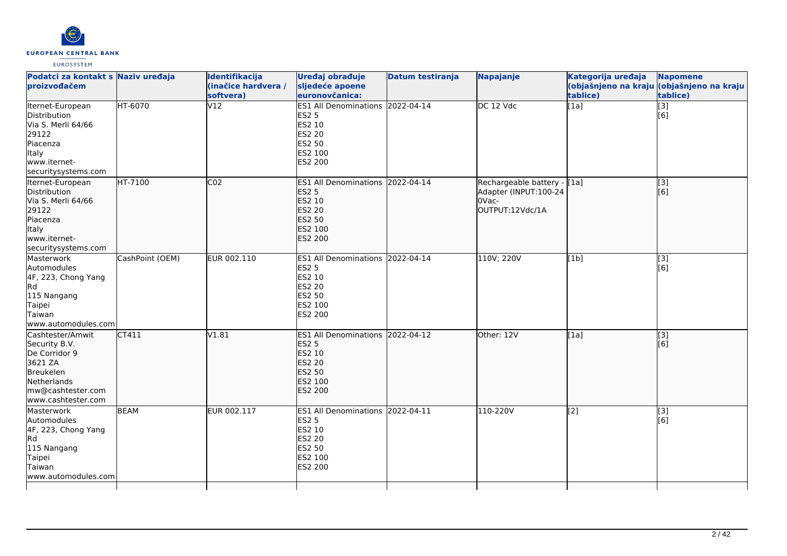

| Podatci za kontakt s Naziv uređaja<br>proizvođačem                                                                                   |                 | Identifikacija<br>(inačice hardvera /<br>softvera) | Uređaj obrađuje<br>sljedeće apoene<br>euronovčanica:                                                                  | Datum testiranja | <b>Napajanje</b>                                                                   | Kategorija uređaja<br>tablice) | <b>Napomene</b><br>(objašnjeno na kraju <mark>(objašnjeno na kraju</mark><br>tablice) |
|--------------------------------------------------------------------------------------------------------------------------------------|-----------------|----------------------------------------------------|-----------------------------------------------------------------------------------------------------------------------|------------------|------------------------------------------------------------------------------------|--------------------------------|---------------------------------------------------------------------------------------|
| Iternet-European<br>Distribution<br>Via S. Merli 64/66<br>29122<br>Piacenza<br>Italy<br>www.iternet-<br>securitysystems.com          | HT-6070         | V12                                                | <b>ES1 All Denominations</b><br><b>ES2 5</b><br>ES2 10<br><b>ES2 20</b><br><b>ES2 50</b><br>ES2 100<br><b>ES2 200</b> | 2022-04-14       | DC 12 Vdc                                                                          | [1a]                           | $\overline{[3]}$<br>[6]                                                               |
| Iternet-European<br>Distribution<br>Via S. Merli 64/66<br>29122<br>Piacenza<br>Italy<br>www.iternet-<br>securitysystems.com          | HT-7100         | C <sub>02</sub>                                    | <b>ES1 All Denominations</b><br><b>ES2 5</b><br>ES2 10<br><b>ES2 20</b><br>ES2 50<br>ES2 100<br><b>ES2 200</b>        | 2022-04-14       | Rechargeable battery - [[1a]<br>Adapter (INPUT:100-24<br>l0Vac-<br>OUTPUT:12Vdc/1A |                                | [3]<br>[6]                                                                            |
| Masterwork<br>Automodules<br>4F, 223, Chong Yang<br>Rd.<br>115 Nangang<br>Taipei<br>Taiwan<br>www.automodules.com                    | CashPoint (OEM) | EUR 002.110                                        | ES1 All Denominations 2022-04-14<br><b>ES2 5</b><br>ES2 10<br>ES2 20<br><b>ES2 50</b><br>ES2 100<br>ES2 200           |                  | 110V; 220V                                                                         | [1b]                           | [3]<br>[6]                                                                            |
| Cashtester/Amwit<br>Security B.V.<br>De Corridor 9<br>3621 ZA<br>Breukelen<br>Netherlands<br>mw@cashtester.com<br>www.cashtester.com | CT411           | V1.81                                              | <b>ES1 All Denominations</b><br><b>ES2 5</b><br>ES2 10<br><b>ES2 20</b><br><b>ES2 50</b><br>ES2 100<br><b>ES2 200</b> | 2022-04-12       | Other: 12V                                                                         | [1a]                           | [3]<br>[6]                                                                            |
| Masterwork<br>Automodules<br>4F, 223, Chong Yang<br>Rd<br>115 Nangang<br>Taipei<br>Taiwan<br>www.automodules.com                     | <b>BEAM</b>     | EUR 002.117                                        | ES1 All Denominations 2022-04-11<br><b>ES2 5</b><br>ES2 10<br><b>ES2 20</b><br><b>ES2 50</b><br>ES2 100<br>ES2 200    |                  | 110-220V                                                                           | [2]                            | [3]<br>[6]                                                                            |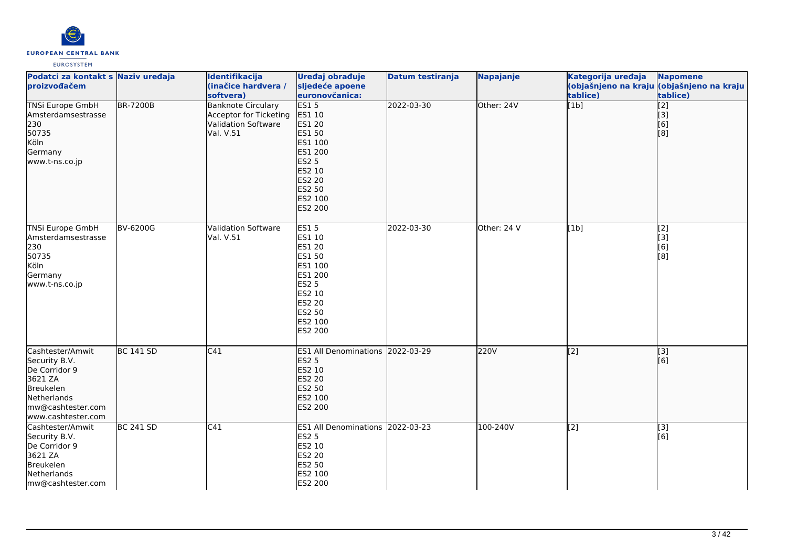

| Podatci za kontakt s Naziv uređaja<br>proizvođačem                                                                                   |                  | Identifikacija<br>(inačice hardvera /<br>softvera)                                      | Uređaj obrađuje<br>sljedeće apoene<br>euronovčanica:                                                                                | <b>Datum testiranja</b> | Napajanje   | Kategorija uređaja<br>tablice) | <b>Napomene</b><br>(objašnjeno na kraju (objašnjeno na kraju<br>tablice)                  |
|--------------------------------------------------------------------------------------------------------------------------------------|------------------|-----------------------------------------------------------------------------------------|-------------------------------------------------------------------------------------------------------------------------------------|-------------------------|-------------|--------------------------------|-------------------------------------------------------------------------------------------|
| <b>TNSi Europe GmbH</b><br>Amsterdamsestrasse<br>230<br>50735<br>Köln<br>Germany<br>www.t-ns.co.jp                                   | <b>BR-7200B</b>  | <b>Banknote Circulary</b><br>Acceptor for Ticketing<br>Validation Software<br>Val. V.51 | ES15<br>ES1 10<br>ES1 20<br>ES1 50<br>ES1 100<br>ES1 200<br><b>ES2 5</b><br>ES2 10<br><b>ES2 20</b><br>ES2 50<br>ES2 100<br>ES2 200 | 2022-03-30              | Other: 24V  | $\overline{[1b]}$              | $\overline{[2]}$<br>$\begin{bmatrix} 3 \\ 6 \end{bmatrix}$<br>$\overline{[}8\overline{]}$ |
| <b>TNSi Europe GmbH</b><br>Amsterdamsestrasse<br>230<br>50735<br>Köln<br>Germany<br>www.t-ns.co.jp                                   | <b>BV-6200G</b>  | <b>Validation Software</b><br>Val. V.51                                                 | <b>ES15</b><br>ES1 10<br>ES1 20<br>ES1 50<br>ES1 100<br>ES1 200<br><b>ES2 5</b><br>ES2 10<br>ES2 20<br>ES2 50<br>ES2 100<br>ES2 200 | 2022-03-30              | Other: 24 V | [1b]                           | $\overline{[2]}$<br>$\begin{bmatrix} 3 \end{bmatrix}$ [3]<br>$\overline{[}8\overline{]}$  |
| Cashtester/Amwit<br>Security B.V.<br>De Corridor 9<br>3621 ZA<br>Breukelen<br>Netherlands<br>mw@cashtester.com<br>www.cashtester.com | <b>BC 141 SD</b> | C41                                                                                     | ES1 All Denominations 2022-03-29<br><b>ES2 5</b><br><b>ES2 10</b><br>ES2 20<br>ES2 50<br>ES2 100<br>ES2 200                         |                         | 220V        | [2]                            | $\overline{[3]}$<br>[6]                                                                   |
| Cashtester/Amwit<br>Security B.V.<br>De Corridor 9<br>3621 ZA<br>Breukelen<br>Netherlands<br>mw@cashtester.com                       | <b>BC 241 SD</b> | C41                                                                                     | ES1 All Denominations 2022-03-23<br><b>ES2 5</b><br>ES2 10<br>ES2 20<br>ES2 50<br>ES2 100<br>ES2 200                                |                         | 100-240V    | [2]                            | [3]<br>[6]                                                                                |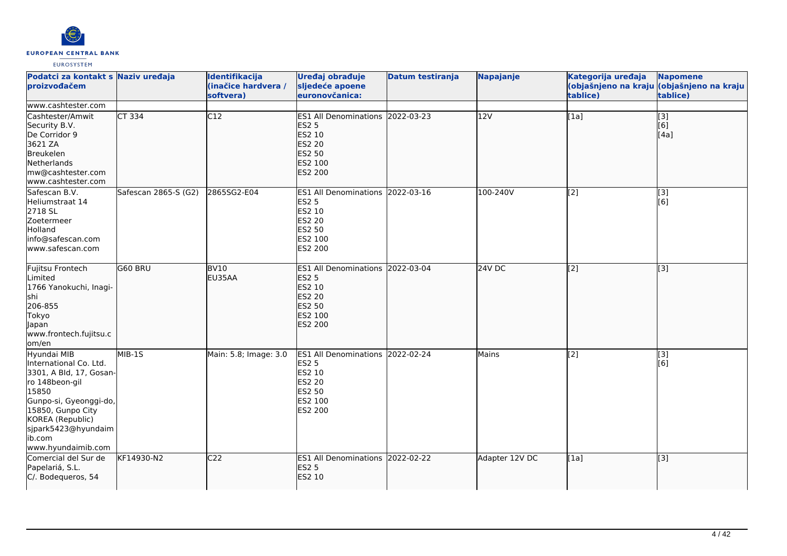

| Podatci za kontakt s Naziv uređaja<br>proizvođačem                                                                                                                                                                    |                      | Identifikacija<br>(inačice hardvera /<br>softvera) | Uređaj obrađuje<br>sljedeće apoene<br>euronovčanica:                                                               | <b>Datum testiranja</b> | Napajanje      | Kategorija uređaja<br>tablice) | <b>Napomene</b><br>(objašnjeno na kraju <mark>(objašnjeno na kraju </mark><br>tablice) |
|-----------------------------------------------------------------------------------------------------------------------------------------------------------------------------------------------------------------------|----------------------|----------------------------------------------------|--------------------------------------------------------------------------------------------------------------------|-------------------------|----------------|--------------------------------|----------------------------------------------------------------------------------------|
| www.cashtester.com                                                                                                                                                                                                    |                      |                                                    |                                                                                                                    |                         |                |                                |                                                                                        |
| Cashtester/Amwit<br>Security B.V.<br>De Corridor 9<br>3621 ZA<br>Breukelen<br>Netherlands<br>mw@cashtester.com<br>www.cashtester.com                                                                                  | $CT$ 334             | C12                                                | ES1 All Denominations 2022-03-23<br><b>ES2 5</b><br>ES2 10<br><b>ES2 20</b><br>ES2 50<br>ES2 100<br>ES2 200        |                         | 12V            | [1a]                           | $\vert$ [3]<br>[6]<br>[4a]                                                             |
| Safescan B.V.<br>Heliumstraat 14<br>2718 SL<br>Zoetermeer<br>Holland<br>info@safescan.com<br>www.safescan.com                                                                                                         | Safescan 2865-S (G2) | 2865SG2-E04                                        | ES1 All Denominations 2022-03-16<br>ES <sub>2</sub> 5<br>ES2 10<br>ES2 20<br>ES2 50<br>ES2 100<br>ES2 200          |                         | 100-240V       | [2]                            | [3]<br>[6]                                                                             |
| Fujitsu Frontech<br>Limited<br>1766 Yanokuchi, Inagi-<br><b>s</b> hi<br>206-855<br>Tokyo<br>lapan<br>www.frontech.fujitsu.c<br>lom/en                                                                                 | G60 BRU              | <b>BV10</b><br>EU35AA                              | ES1 All Denominations 2022-03-04<br><b>ES2 5</b><br>ES2 10<br><b>ES2 20</b><br>ES2 50<br>ES2 100<br><b>ES2 200</b> |                         | 24V DC         | [2]                            | $\left[ \begin{matrix} 1 & 3 \end{matrix} \right]$                                     |
| Hyundai MIB<br>International Co. Ltd.<br>3301, A Bld, 17, Gosan-<br>ro 148beon-gil<br>15850<br>Gunpo-si, Gyeonggi-do,<br>15850, Gunpo City<br>KOREA (Republic)<br>sjpark5423@hyundaim<br>ib.com<br>www.hyundaimib.com | MIB-1S               | Main: 5.8; Image: 3.0                              | ES1 All Denominations 2022-02-24<br><b>ES2 5</b><br>ES2 10<br>ES2 20<br>ES2 50<br>ES2 100<br>ES2 200               |                         | Mains          | [2]                            | [3]<br>[6]                                                                             |
| Comercial del Sur de<br>Papelariá, S.L.<br>C/. Bodequeros, 54                                                                                                                                                         | KF14930-N2           | C <sub>22</sub>                                    | ES1 All Denominations 2022-02-22<br><b>ES2 5</b><br>ES2 10                                                         |                         | Adapter 12V DC | [1a]                           | $\left[ \begin{matrix} 1 & 3 \end{matrix} \right]$                                     |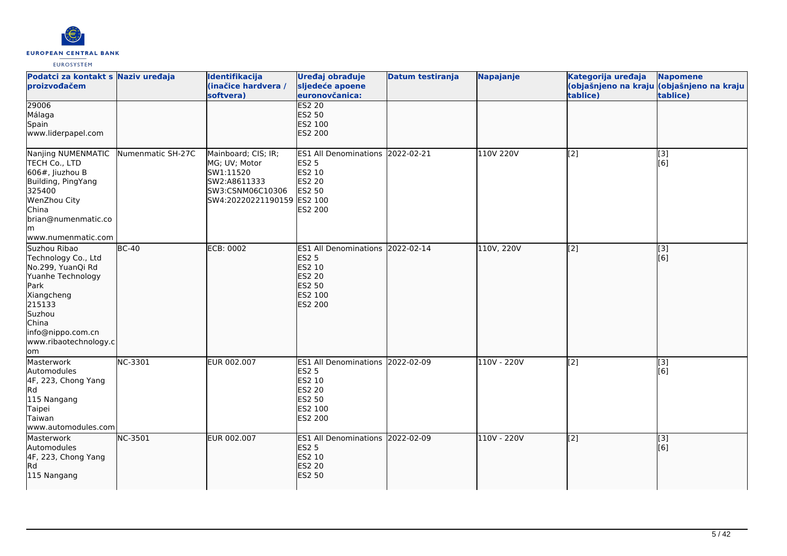

| Podatci za kontakt s Naziv uređaja<br>proizvođačem                                                                                                                                    |                   | Identifikacija<br>(inačice hardvera /<br>softvera)                                                                  | Uređaj obrađuje<br>sljedeće apoene<br>euronovčanica:                                                           | Datum testiranja | Napajanje   | Kategorija uređaja<br>tablice) | <b>Napomene</b><br>(objašnjeno na kraju (objašnjeno na kraju<br>tablice) |
|---------------------------------------------------------------------------------------------------------------------------------------------------------------------------------------|-------------------|---------------------------------------------------------------------------------------------------------------------|----------------------------------------------------------------------------------------------------------------|------------------|-------------|--------------------------------|--------------------------------------------------------------------------|
| 29006<br>Málaga<br>Spain<br>www.liderpapel.com                                                                                                                                        |                   |                                                                                                                     | <b>ES2 20</b><br>ES2 50<br>ES2 100<br>ES2 200                                                                  |                  |             |                                |                                                                          |
| Nanjing NUMENMATIC<br>TECH Co., LTD<br>$606#$ , Jiuzhou B<br>Building, PingYang<br>325400<br>WenZhou City<br>China<br>brian@numenmatic.co<br>lm.<br>www.numenmatic.com                | Numenmatic SH-27C | Mainboard; CIS; IR;<br>MG; UV; Motor<br>SW1:11520<br>SW2:A8611333<br>SW3:CSNM06C10306<br>SW4:20220221190159 ES2 100 | ES1 All Denominations 2022-02-21<br><b>ES2 5</b><br><b>ES2 10</b><br><b>ES2 20</b><br><b>ES2 50</b><br>ES2 200 |                  | 110V 220V   | [2]                            | [3]<br>[6]                                                               |
| Suzhou Ribao<br>Technology Co., Ltd<br>No.299, YuanQi Rd<br>Yuanhe Technology<br>Park<br>Xiangcheng<br>215133<br>Suzhou<br>China<br>info@nippo.com.cn<br>www.ribaotechnology.c<br>lom | $BC-40$           | <b>ECB: 0002</b>                                                                                                    | ES1 All Denominations 2022-02-14<br><b>ES2 5</b><br>ES2 10<br><b>ES2 20</b><br>ES2 50<br>ES2 100<br>ES2 200    |                  | 110V, 220V  | [2]                            | $\overline{[3]}$<br>[6]                                                  |
| Masterwork<br>Automodules<br>4F, 223, Chong Yang<br>Rd<br>115 Nangang<br>Taipei<br>Taiwan<br>www.automodules.com                                                                      | NC-3301           | EUR 002.007                                                                                                         | ES1 All Denominations 2022-02-09<br><b>ES2 5</b><br>ES2 10<br><b>ES2 20</b><br>ES2 50<br>ES2 100<br>ES2 200    |                  | 110V - 220V | [2]                            | $\overline{[3]}$<br>[6]                                                  |
| Masterwork<br>Automodules<br>4F, 223, Chong Yang<br><b>Rd</b><br>115 Nangang                                                                                                          | NC-3501           | EUR 002.007                                                                                                         | ES1 All Denominations 2022-02-09<br><b>ES2 5</b><br>ES2 10<br><b>ES2 20</b><br><b>ES2 50</b>                   |                  | 110V - 220V | [2]                            | [3]<br>[6]                                                               |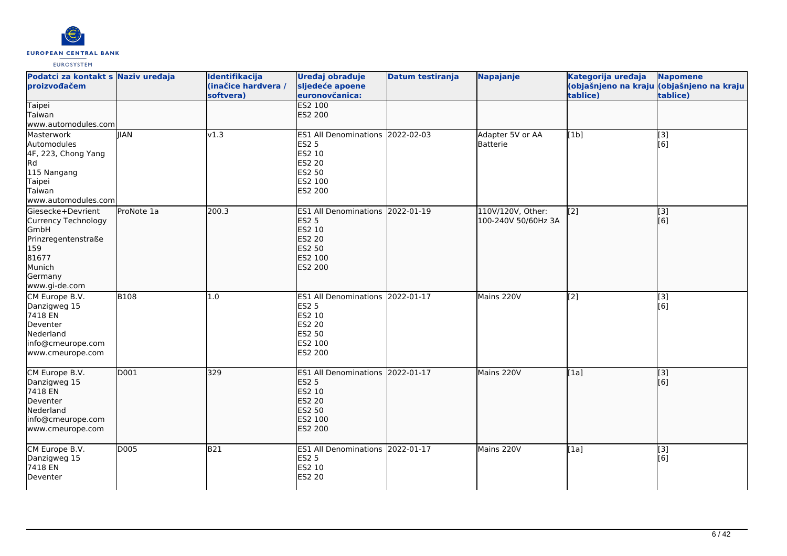

| Podatci za kontakt s Naziv uređaja<br>proizvođačem                                                                                   |             | Identifikacija<br>(inačice hardvera /<br>softvera) | Uređaj obrađuje<br>sljedeće apoene<br>euronovčanica:                                                                             | <b>Datum testiranja</b> | <b>Napajanje</b>                         | Kategorija uređaja<br>tablice) | <b>Napomene</b><br>(objašnjeno na kraju (objašnjeno na kraju<br>tablice) |
|--------------------------------------------------------------------------------------------------------------------------------------|-------------|----------------------------------------------------|----------------------------------------------------------------------------------------------------------------------------------|-------------------------|------------------------------------------|--------------------------------|--------------------------------------------------------------------------|
| <b>Taipei</b><br>Taiwan<br>www.automodules.com                                                                                       |             |                                                    | <b>ES2 100</b><br>ES2 200                                                                                                        |                         |                                          |                                |                                                                          |
| Masterwork<br>Automodules<br>4F, 223, Chong Yang<br>Rd<br>115 Nangang<br>Taipei<br>Taiwan<br>www.automodules.com                     | <b>IIAN</b> | v1.3                                               | ES1 All Denominations 2022-02-03<br><b>ES2 5</b><br>ES2 10<br>ES2 20<br>ES2 50<br>ES2 100<br>ES2 200                             |                         | Adapter 5V or AA<br>Batterie             | [1b]                           | $\overline{[3]}$<br>[6]                                                  |
| Giesecke+Devrient<br>Currency Technology<br><b>GmbH</b><br>Prinzregentenstraße<br>159<br>81677<br>Munich<br>Germany<br>www.gi-de.com | ProNote 1a  | 200.3                                              | <b>ES1 All Denominations</b><br><b>ES2 5</b><br><b>ES2 10</b><br><b>ES2 20</b><br>ES2 50<br>ES2 100<br><b>ES2 200</b>            | 2022-01-19              | 110V/120V, Other:<br>100-240V 50/60Hz 3A | [2]                            | $\overline{[}3]$<br>[6]                                                  |
| CM Europe B.V.<br>Danzigweg 15<br>7418 EN<br>Deventer<br>Nederland<br>info@cmeurope.com<br>www.cmeurope.com                          | <b>B108</b> | 1.0                                                | <b>ES1 All Denominations</b><br><b>ES2 5</b><br>ES2 10<br><b>ES2 20</b><br>ES2 50<br>ES2 100<br>ES2 200                          | 2022-01-17              | Mains 220V                               | [2]                            | [3]<br>[6]                                                               |
| CM Europe B.V.<br>Danzigweg 15<br>7418 EN<br>Deventer<br>Nederland<br>info@cmeurope.com<br>www.cmeurope.com                          | D001        | 329                                                | ES1 All Denominations 2022-01-17<br><b>ES2 5</b><br><b>ES2 10</b><br><b>ES2 20</b><br><b>ES2 50</b><br>ES2 100<br><b>ES2 200</b> |                         | Mains 220V                               | [1a]                           | $\overline{[}3]$<br>[6]                                                  |
| CM Europe B.V.<br>Danzigweg 15<br>7418 EN<br>Deventer                                                                                | <b>D005</b> | B21                                                | ES1 All Denominations 2022-01-17<br><b>ES2 5</b><br>ES2 10<br><b>ES2 20</b>                                                      |                         | Mains 220V                               | [1a]                           | $\overline{[3]}$<br>[6]                                                  |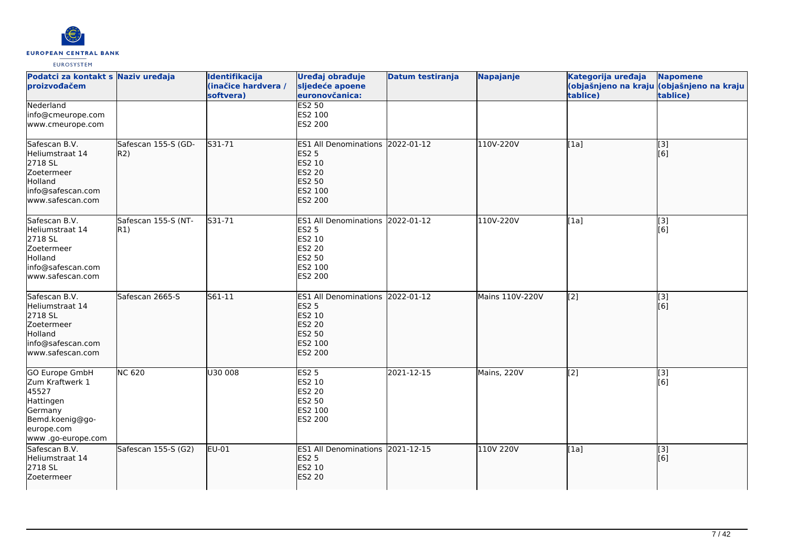

| Podatci za kontakt s Naziv uređaja<br>proizvođačem                                                                               |                            | Identifikacija<br>(inačice hardvera /<br>softvera) | Uređaj obrađuje<br>sljedeće apoene<br>euronovčanica:                                                               | <b>Datum testiranja</b> | Napajanje       | Kategorija uređaja<br>tablice) | <b>Napomene</b><br>(objašnjeno na kraju (objašnjeno na kraju<br>tablice) |
|----------------------------------------------------------------------------------------------------------------------------------|----------------------------|----------------------------------------------------|--------------------------------------------------------------------------------------------------------------------|-------------------------|-----------------|--------------------------------|--------------------------------------------------------------------------|
| Nederland<br>info@cmeurope.com<br>www.cmeurope.com                                                                               |                            |                                                    | <b>ES2 50</b><br>ES2 100<br>ES2 200                                                                                |                         |                 |                                |                                                                          |
| Safescan B.V.<br>Heliumstraat 14<br>2718 SL<br>Zoetermeer<br>Holland<br>info@safescan.com<br>lwww.safescan.com                   | Safescan 155-S (GD-<br>R2) | S31-71                                             | ES1 All Denominations 2022-01-12<br><b>ES2 5</b><br>ES2 10<br><b>ES2 20</b><br>ES2 50<br>ES2 100<br><b>ES2 200</b> |                         | 110V-220V       | [[1a]                          | $\overline{[}$ [3]<br>[6]                                                |
| Safescan B.V.<br>Heliumstraat 14<br>2718 SL<br>Zoetermeer<br>Holland<br>info@safescan.com<br>www.safescan.com                    | Safescan 155-S (NT-<br>R1) | S31-71                                             | ES1 All Denominations 2022-01-12<br><b>ES2 5</b><br>ES2 10<br>ES2 20<br>ES2 50<br>ES2 100<br>ES2 200               |                         | 110V-220V       | [1a]                           | [3]<br>[6]                                                               |
| Safescan B.V.<br>Heliumstraat 14<br>2718 SL<br>Zoetermeer<br>Holland<br>info@safescan.com<br>www.safescan.com                    | Safescan 2665-S            | S61-11                                             | <b>ES1 All Denominations</b><br><b>ES2 5</b><br>ES2 10<br><b>ES2 20</b><br>ES2 50<br>ES2 100<br><b>ES2 200</b>     | 2022-01-12              | Mains 110V-220V | $\sqrt{2}$                     | [3]<br>[6]                                                               |
| <b>GO Europe GmbH</b><br>Zum Kraftwerk 1<br>45527<br>Hattingen<br>Germany<br>Bemd.koenig@go-<br>europe.com<br>www .go-europe.com | <b>NC 620</b>              | U30 008                                            | ES2 <sub>5</sub><br>ES2 10<br><b>ES2 20</b><br>ES2 50<br>ES2 100<br>ES2 200                                        | 2021-12-15              | Mains, 220V     | [2]                            | [3]<br>[6]                                                               |
| Safescan B.V.<br>Heliumstraat 14<br>2718 SL<br>Zoetermeer                                                                        | Safescan 155-S (G2)        | EU-01                                              | ES1 All Denominations 2021-12-15<br><b>ES2 5</b><br>ES2 10<br><b>ES2 20</b>                                        |                         | 110V 220V       | [1a]                           | [3]<br>[6]                                                               |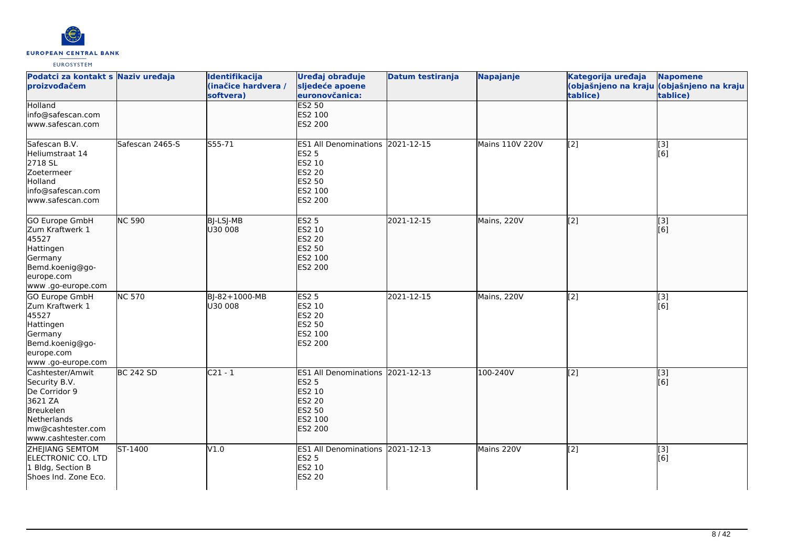

| Podatci za kontakt s Naziv uređaja<br>proizvođačem                                                                                   |                  | Identifikacija<br>(inačice hardvera /<br>softvera) | Uređaj obrađuje<br>sljedeće apoene<br>euronovčanica:                                                        | <b>Datum testiranja</b> | Napajanje              | Kategorija uređaja<br>tablice) | <b>Napomene</b><br>(objašnjeno na kraju (objašnjeno na kraju<br>tablice) |
|--------------------------------------------------------------------------------------------------------------------------------------|------------------|----------------------------------------------------|-------------------------------------------------------------------------------------------------------------|-------------------------|------------------------|--------------------------------|--------------------------------------------------------------------------|
| Holland<br>info@safescan.com<br>lwww.safescan.com                                                                                    |                  |                                                    | ES2 50<br>ES2 100<br><b>ES2 200</b>                                                                         |                         |                        |                                |                                                                          |
| Safescan B.V.<br>Heliumstraat 14<br>2718 SL<br>Zoetermeer<br>Holland<br>info@safescan.com<br>www.safescan.com                        | Safescan 2465-S  | $555 - 71$                                         | ES1 All Denominations 2021-12-15<br><b>ES2 5</b><br>ES2 10<br><b>ES2 20</b><br>ES2 50<br>ES2 100<br>ES2 200 |                         | <b>Mains 110V 220V</b> | [2]                            | $\overline{[}3]$<br>[6]                                                  |
| GO Europe GmbH<br>Zum Kraftwerk 1<br>45527<br>Hattingen<br>Germany<br>Bemd.koenig@go-<br>europe.com<br>www.go-europe.com             | <b>NC 590</b>    | BJ-LSJ-MB<br>U30 008                               | <b>ES2 5</b><br>ES2 10<br>ES2 20<br>ES2 50<br>ES2 100<br><b>ES2 200</b>                                     | 2021-12-15              | Mains, 220V            | $\overline{[2]}$               | $\overline{[3]}$<br>[6]                                                  |
| GO Europe GmbH<br>Zum Kraftwerk 1<br>45527<br>Hattingen<br>Germany<br>Bemd.koenig@go-<br>europe.com<br>www.go-europe.com             | <b>NC 570</b>    | BJ-82+1000-MB<br>U30 008                           | <b>ES2 5</b><br>ES2 10<br><b>ES2 20</b><br>ES2 50<br>ES2 100<br>ES2 200                                     | 2021-12-15              | Mains, 220V            | [2]                            | [3]<br>$\overline{[}6\overline{]}$                                       |
| Cashtester/Amwit<br>Security B.V.<br>De Corridor 9<br>3621 ZA<br>Breukelen<br>Netherlands<br>mw@cashtester.com<br>www.cashtester.com | <b>BC 242 SD</b> | $C21 - 1$                                          | ES1 All Denominations 2021-12-13<br><b>ES2 5</b><br>ES2 10<br>ES2 20<br>ES2 50<br>ES2 100<br>ES2 200        |                         | 100-240V               | [2]                            | $\overline{[}3]$<br>[6]                                                  |
| ZHEJIANG SEMTOM<br>ELECTRONIC CO. LTD<br>1 Bldg, Section B<br>Shoes Ind. Zone Eco.                                                   | ST-1400          | V1.0                                               | ES1 All Denominations 2021-12-13<br><b>ES2 5</b><br>ES2 10<br><b>ES2 20</b>                                 |                         | Mains 220V             | [2]                            | [3]<br>[6]                                                               |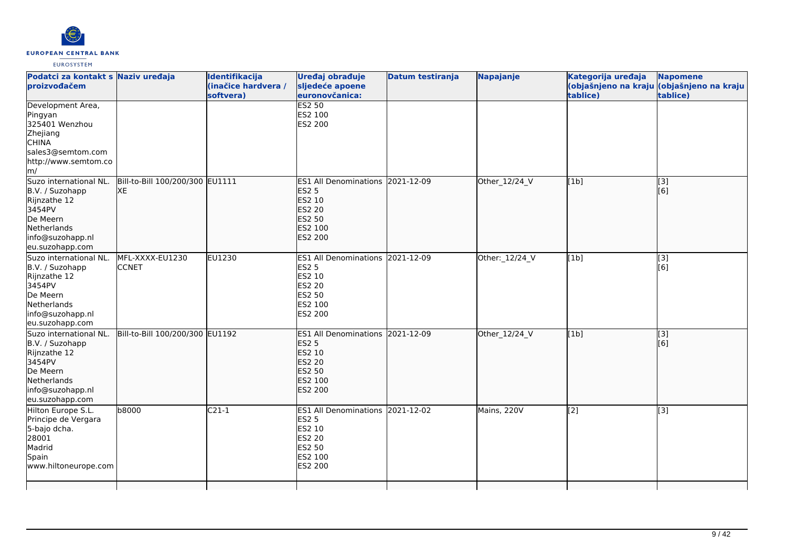

| Podatci za kontakt s Naziv uređaja<br>proizvođačem                                                                                    |                                       | Identifikacija<br>(inačice hardvera /<br>softvera) | Uređaj obrađuje<br>sljedeće apoene<br>euronovčanica:                                                               | <b>Datum testiranja</b> | <b>Napajanje</b> | Kategorija uređaja<br>tablice) | <b>Napomene</b><br>(objašnjeno na kraju (objašnjeno na kraju<br>tablice) |
|---------------------------------------------------------------------------------------------------------------------------------------|---------------------------------------|----------------------------------------------------|--------------------------------------------------------------------------------------------------------------------|-------------------------|------------------|--------------------------------|--------------------------------------------------------------------------|
| Development Area,<br>Pingyan<br>325401 Wenzhou<br>Zhejiang<br><b>CHINA</b><br>sales3@semtom.com<br>http://www.semtom.co<br>m/         |                                       |                                                    | <b>ES2 50</b><br>ES2 100<br><b>ES2 200</b>                                                                         |                         |                  |                                |                                                                          |
| Suzo international NL.<br>B.V. / Suzohapp<br>Rijnzathe 12<br>3454PV<br>De Meern<br>Netherlands<br>info@suzohapp.nl<br>eu.suzohapp.com | Bill-to-Bill 100/200/300 EU1111<br>XE |                                                    | ES1 All Denominations 2021-12-09<br><b>ES2 5</b><br>ES2 10<br><b>ES2 20</b><br><b>ES2 50</b><br>ES2 100<br>ES2 200 |                         | Other_12/24_V    | [1b]                           | [3]<br>[6]                                                               |
| Suzo international NL.<br>B.V. / Suzohapp<br>Rijnzathe 12<br>3454PV<br>De Meern<br>Netherlands<br>info@suzohapp.nl<br>eu.suzohapp.com | MFL-XXXX-EU1230<br><b>CCNET</b>       | EU1230                                             | ES1 All Denominations 2021-12-09<br><b>ES2 5</b><br>ES2 10<br><b>ES2 20</b><br>ES2 50<br>ES2 100<br><b>ES2 200</b> |                         | Other: 12/24_V   | [1b]                           | [3]<br>[6]                                                               |
| Suzo international NL.<br>B.V. / Suzohapp<br>Rijnzathe 12<br>3454PV<br>De Meern<br>Netherlands<br>info@suzohapp.nl<br>eu.suzohapp.com | Bill-to-Bill 100/200/300 EU1192       |                                                    | ES1 All Denominations 2021-12-09<br><b>ES2 5</b><br>ES2 10<br><b>ES2 20</b><br><b>ES2 50</b><br>ES2 100<br>ES2 200 |                         | Other_12/24_V    | [1b]                           | $\overline{[}3]$<br>[6]                                                  |
| Hilton Europe S.L.<br>Principe de Vergara<br>5-bajo dcha.<br>28001<br>Madrid<br>Spain<br>www.hiltoneurope.com                         | b8000                                 | $C21-1$                                            | ES1 All Denominations 2021-12-02<br><b>ES2 5</b><br><b>ES2 10</b><br><b>ES2 20</b><br>ES2 50<br>ES2 100<br>ES2 200 |                         | Mains, 220V      | [2]                            | [3]                                                                      |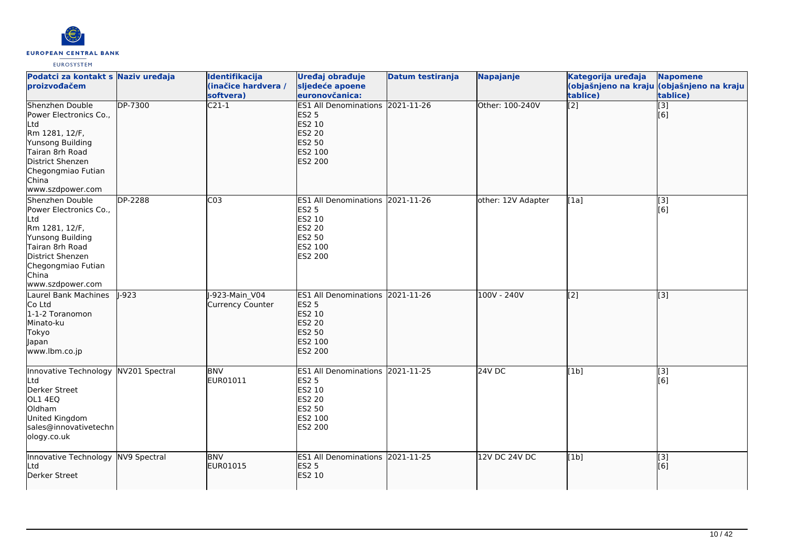

| Podatci za kontakt s Naziv uređaja<br>proizvođačem                                                                                                                               |                | Identifikacija<br>(inačice hardvera /<br>softvera) | Uređaj obrađuje<br>sljedeće apoene<br>euronovčanica:                                                               | Datum testiranja | Napajanje          | Kategorija uređaja<br>tablice) | <b>Napomene</b><br>(objašnjeno na kraju (objašnjeno na kraju<br>tablice) |
|----------------------------------------------------------------------------------------------------------------------------------------------------------------------------------|----------------|----------------------------------------------------|--------------------------------------------------------------------------------------------------------------------|------------------|--------------------|--------------------------------|--------------------------------------------------------------------------|
| Shenzhen Double<br>Power Electronics Co.,<br>Ltd<br>Rm 1281, 12/F,<br>Yunsong Building<br>Tairan 8rh Road<br>District Shenzen<br>Chegongmiao Futian<br>China<br>www.szdpower.com | <b>DP-7300</b> | $\overline{C21-1}$                                 | <b>ES1 All Denominations</b><br><b>ES2 5</b><br>ES2 10<br><b>ES2 20</b><br>ES2 50<br>ES2 100<br>ES2 200            | $2021 - 11 - 26$ | Other: 100-240V    | $\overline{[2]}$               | $\overline{[}3]$<br>[6]                                                  |
| Shenzhen Double<br>Power Electronics Co.,<br>Ltd<br>Rm 1281, 12/F,<br>Yunsong Building<br>Tairan 8rh Road<br>District Shenzen<br>Chegongmiao Futian<br>China<br>www.szdpower.com | DP-2288        | C <sub>03</sub>                                    | <b>ES1 All Denominations</b><br><b>ES2 5</b><br>ES2 10<br><b>ES2 20</b><br><b>ES2 50</b><br>ES2 100<br>ES2 200     | 2021-11-26       | other: 12V Adapter | [1a]                           | [3]<br>[6]                                                               |
| Laurel Bank Machines<br>Co Ltd<br>1-1-2 Toranomon<br>Minato-ku<br><b>Tokyo</b><br>Japan<br>www.lbm.co.jp                                                                         | $-923$         | -923-Main V04<br>Currency Counter                  | <b>ES1 All Denominations</b><br><b>ES2 5</b><br>ES2 10<br><b>ES2 20</b><br><b>ES2 50</b><br>ES2 100<br>ES2 200     | 2021-11-26       | 100V - 240V        | [2]                            | $\overline{[3]}$                                                         |
| Innovative Technology<br>Ltd<br>Derker Street<br>OL1 4EQ<br>Oldham<br>United Kingdom<br>sales@innovativetechn<br>ology.co.uk                                                     | NV201 Spectral | <b>BNV</b><br>EUR01011                             | ES1 All Denominations 2021-11-25<br><b>ES2 5</b><br>ES2 10<br><b>ES2 20</b><br><b>ES2 50</b><br>ES2 100<br>ES2 200 |                  | 24V DC             | [1b]                           | $\overline{[}3]$<br>[6]                                                  |
| Innovative Technology NV9 Spectral<br>Ltd<br>Derker Street                                                                                                                       |                | <b>BNV</b><br>EUR01015                             | ES1 All Denominations 2021-11-25<br><b>ES2 5</b><br>ES2 10                                                         |                  | 12V DC 24V DC      | [1b]                           | [3]<br>[6]                                                               |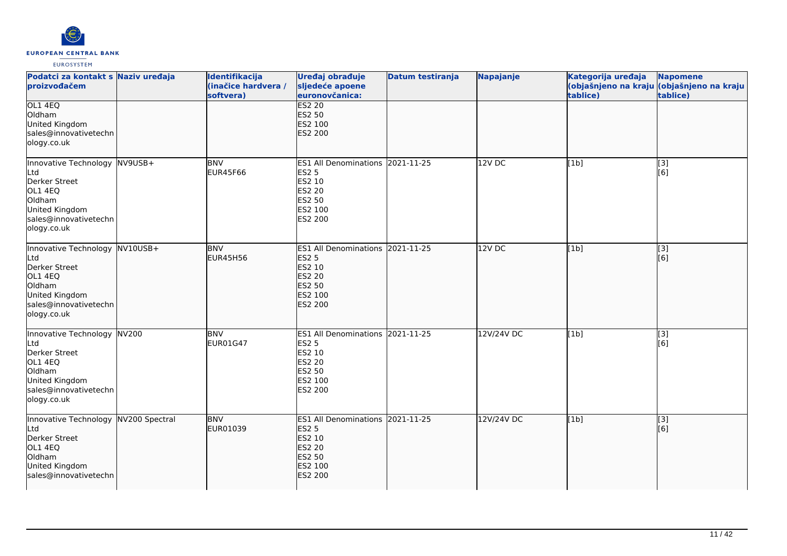

| Podatci za kontakt s Naziv uređaja<br>proizvođačem                                                                                    | Identifikacija<br>(inačice hardvera /<br>softvera) | Uređaj obrađuje<br>sljedeće apoene<br>euronovčanica:                                                        | Datum testiranja | Napajanje  | Kategorija uređaja<br>tablice) | <b>Napomene</b><br>(objašnjeno na kraju (objašnjeno na kraju<br>tablice) |
|---------------------------------------------------------------------------------------------------------------------------------------|----------------------------------------------------|-------------------------------------------------------------------------------------------------------------|------------------|------------|--------------------------------|--------------------------------------------------------------------------|
| OL1 4EQ<br>Oldham<br>United Kingdom<br>sales@innovativetechn<br>ology.co.uk                                                           |                                                    | <b>ES2 20</b><br>ES2 50<br>ES2 100<br>ES2 200                                                               |                  |            |                                |                                                                          |
| Innovative Technology NV9USB+<br>Ltd<br>Derker Street<br>OL1 4EQ<br>Oldham<br>United Kingdom<br>sales@innovativetechn<br>ology.co.uk  | <b>BNV</b><br><b>EUR45F66</b>                      | <b>ES1 All Denominations</b><br>ES2 5<br>ES2 10<br>ES2 20<br>ES2 50<br>ES2 100<br>ES2 200                   | 2021-11-25       | $12V$ DC   | [1b]                           | [3]<br>[6]                                                               |
| Innovative Technology NV10USB+<br>Ltd<br>Derker Street<br>OL1 4EQ<br>Oldham<br>United Kingdom<br>sales@innovativetechn<br>ology.co.uk | <b>BNV</b><br><b>EUR45H56</b>                      | ES1 All Denominations 2021-11-25<br><b>ES2 5</b><br>ES2 10<br>ES2 20<br><b>ES2 50</b><br>ES2 100<br>ES2 200 |                  | $12V$ DC   | [1b]                           | [3]<br>[6]                                                               |
| Innovative Technology NV200<br>Ltd<br>Derker Street<br>OL1 4EQ<br>Oldham<br>United Kingdom<br>sales@innovativetechn<br>ology.co.uk    | <b>BNV</b><br>EUR01G47                             | ES1 All Denominations 2021-11-25<br>ES2 5<br>ES2 10<br>ES2 20<br>ES2 50<br>ES2 100<br>ES2 200               |                  | 12V/24V DC | [1b]                           | $\overline{[3]}$<br>[6]                                                  |
| Innovative Technology NV200 Spectral<br>Ltd<br>Derker Street<br>OL1 4EQ<br>Oldham<br>United Kingdom<br>sales@innovativetechn          | <b>BNV</b><br>EUR01039                             | <b>ES1 All Denominations</b><br><b>ES2 5</b><br>ES2 10<br><b>ES2 20</b><br>ES2 50<br>ES2 100<br>ES2 200     | 2021-11-25       | 12V/24V DC | [1b]                           | [[3]<br>[6]                                                              |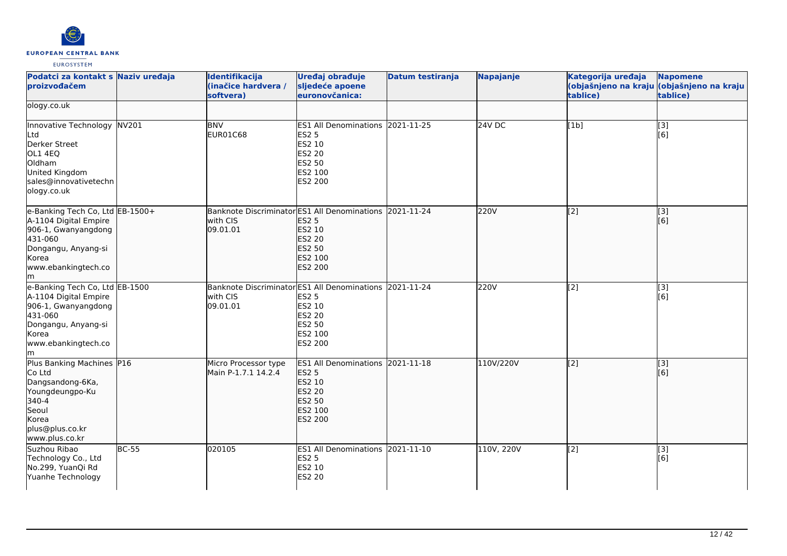

| Podatci za kontakt s Naziv uređaja<br>proizvođačem                                                                                                      |              | Identifikacija<br>(inačice hardvera /<br>softvera) | Uređaj obrađuje<br>sljedeće apoene<br>euronovčanica:                                                                                      | <b>Datum testiranja</b> | Napajanje  | Kategorija uređaja<br>tablice) | <b>Napomene</b><br>(objašnjeno na kraju (objašnjeno na kraju<br>tablice) |
|---------------------------------------------------------------------------------------------------------------------------------------------------------|--------------|----------------------------------------------------|-------------------------------------------------------------------------------------------------------------------------------------------|-------------------------|------------|--------------------------------|--------------------------------------------------------------------------|
| ology.co.uk                                                                                                                                             |              |                                                    |                                                                                                                                           |                         |            |                                |                                                                          |
| Innovative Technology NV201<br>Ltd<br>Derker Street<br>OL1 4EQ<br>Oldham<br>United Kingdom<br>sales@innovativetechn<br>ology.co.uk                      |              | <b>BNV</b><br>EUR01C68                             | ES1 All Denominations 2021-11-25<br><b>ES2 5</b><br>ES2 10<br><b>ES2 20</b><br><b>ES2 50</b><br>ES2 100<br>ES2 200                        |                         | 24V DC     | [1b]                           | $\overline{[3]}$<br>[6]                                                  |
| e-Banking Tech Co, Ltd EB-1500+<br>A-1104 Digital Empire<br>906-1, Gwanyangdong<br>431-060<br>Dongangu, Anyang-si<br>Korea<br>www.ebankingtech.co<br>lm |              | with CIS<br>09.01.01                               | Banknote Discriminator ES1 All Denominations 2021-11-24<br><b>ES2 5</b><br><b>ES2 10</b><br><b>ES2 20</b><br>ES2 50<br>ES2 100<br>ES2 200 |                         | 220V       | $\overline{[2]}$               | $\overline{[}3]$<br>[6]                                                  |
| e-Banking Tech Co, Ltd EB-1500<br>A-1104 Digital Empire<br>906-1, Gwanyangdong<br>431-060<br>Dongangu, Anyang-si<br>Korea<br>www.ebankingtech.co<br>lm. |              | with CIS<br>09.01.01                               | Banknote Discriminator ES1 All Denominations 2021-11-24<br><b>ES2 5</b><br>ES2 10<br><b>ES2 20</b><br>ES2 50<br>ES2 100<br>ES2 200        |                         | 220V       | $[2]$                          | [3]<br>[6]                                                               |
| Plus Banking Machines P16<br>Co Ltd<br>Dangsandong-6Ka,<br>Youngdeungpo-Ku<br>340-4<br>Seoul<br>Korea<br>plus@plus.co.kr<br>www.plus.co.kr              |              | Micro Processor type<br>Main P-1.7.1 14.2.4        | ES1 All Denominations 2021-11-18<br><b>ES2 5</b><br>ES2 10<br><b>ES2 20</b><br><b>ES2 50</b><br>ES2 100<br>ES2 200                        |                         | 110V/220V  | [2]                            | $\left[ \begin{matrix} 1 & 3 \end{matrix} \right]$<br>[6]                |
| Suzhou Ribao<br>Technology Co., Ltd<br>No.299, YuanQi Rd<br>Yuanhe Technology                                                                           | <b>BC-55</b> | 020105                                             | ES1 All Denominations 2021-11-10<br><b>ES2 5</b><br><b>ES2 10</b><br><b>ES2 20</b>                                                        |                         | 110V, 220V | [2]                            | [3]<br>[6]                                                               |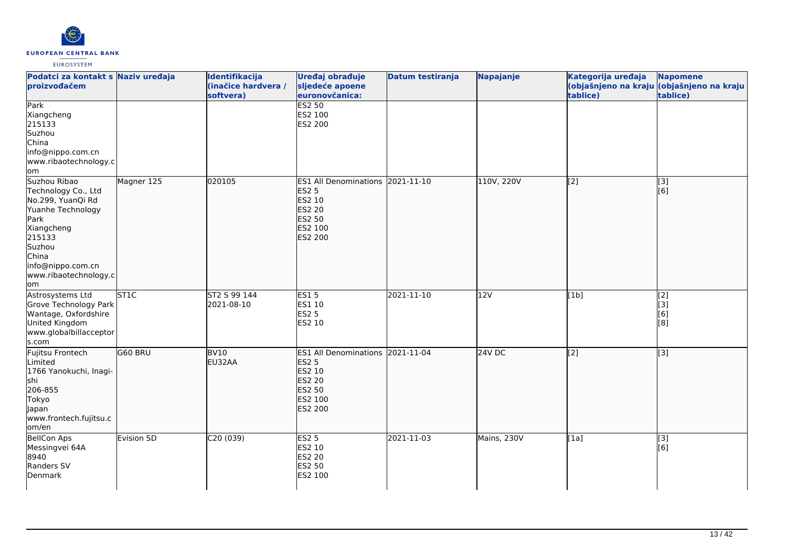

| Podatci za kontakt s Naziv uređaja<br>proizvođačem                                                                                                                                    |                   | Identifikacija<br>(inačice hardvera /<br>softvera) | Uređaj obrađuje<br>sljedeće apoene<br>euronovčanica:                                                               | Datum testiranja | Napajanje     | Kategorija uređaja<br>tablice) | <b>Napomene</b><br>(objašnjeno na kraju (objašnjeno na kraju  <br>tablice) |
|---------------------------------------------------------------------------------------------------------------------------------------------------------------------------------------|-------------------|----------------------------------------------------|--------------------------------------------------------------------------------------------------------------------|------------------|---------------|--------------------------------|----------------------------------------------------------------------------|
| Park<br>Xiangcheng<br>215133<br>Suzhou<br>China<br>info@nippo.com.cn<br>www.ribaotechnology.c<br>om                                                                                   |                   |                                                    | <b>ES2 50</b><br>ES2 100<br>ES2 200                                                                                |                  |               |                                |                                                                            |
| Suzhou Ribao<br>Technology Co., Ltd<br>No.299, YuanQi Rd<br>Yuanhe Technology<br>Park<br>Xiangcheng<br>215133<br>Suzhou<br>China<br>info@nippo.com.cn<br>www.ribaotechnology.c<br>lom | Magner 125        | 020105                                             | ES1 All Denominations 2021-11-10<br><b>ES2 5</b><br>ES2 10<br><b>ES2 20</b><br><b>ES2 50</b><br>ES2 100<br>ES2 200 |                  | 110V, 220V    | [2]                            | [3]<br>[6]                                                                 |
| Astrosystems Ltd<br>Grove Technology Park<br>Wantage, Oxfordshire<br>United Kingdom<br>www.globalbillacceptor<br>s.com                                                                | ST <sub>1C</sub>  | ST2 S 99 144<br>2021-08-10                         | <b>ES15</b><br>ES1 10<br><b>ES2 5</b><br>ES2 10                                                                    | 2021-11-10       | 12V           | [1b]                           | $\vert$ [2]<br>[3]<br>[6]<br>[8]                                           |
| Fujitsu Frontech<br>Limited<br>1766 Yanokuchi, Inagi-<br>lshi<br>206-855<br>Tokyo<br>Japan<br>www.frontech.fujitsu.c<br>om/en                                                         | G60 BRU           | BV <sub>10</sub><br>EU32AA                         | ES1 All Denominations 2021-11-04<br><b>ES2 5</b><br>ES2 10<br><b>ES2 20</b><br>ES2 50<br>ES2 100<br>ES2 200        |                  | <b>24V DC</b> | [[2]                           | $\left[ \begin{matrix} 3 \end{matrix} \right]$                             |
| <b>BellCon Aps</b><br>Messingvei 64A<br>8940<br>Randers SV<br>Denmark                                                                                                                 | <b>Evision SD</b> | C20(039)                                           | <b>ES2 5</b><br>ES2 10<br><b>ES2 20</b><br>ES2 50<br>ES2 100                                                       | 2021-11-03       | Mains, 230V   | [1a]                           | [3]<br>[6]                                                                 |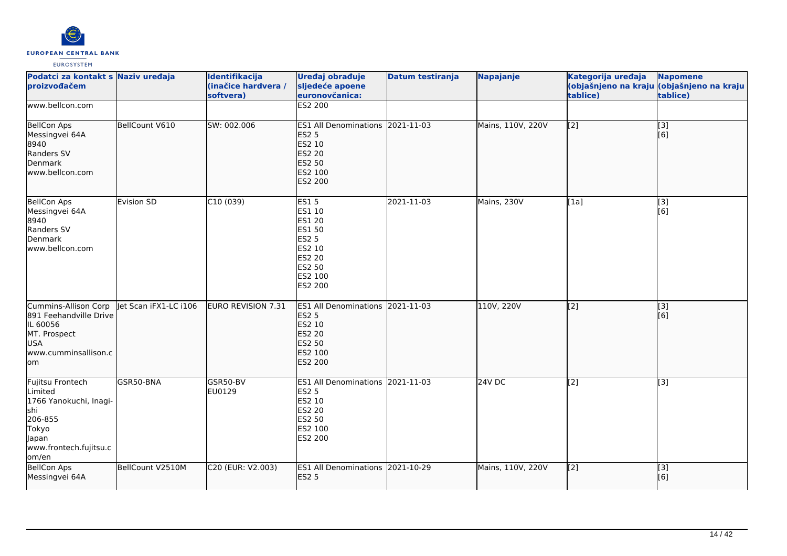

| Podatci za kontakt s Naziv uređaja<br>proizvođačem                                                                           |                       | Identifikacija<br>(inačice hardvera /<br>softvera) | Uređaj obrađuje<br>sljedeće apoene<br>euronovčanica:                                                                               | <b>Datum testiranja</b> | Napajanje         | Kategorija uređaja<br>tablice) | <b>Napomene</b><br>(objašnjeno na kraju (objašnjeno na kraju<br>tablice) |
|------------------------------------------------------------------------------------------------------------------------------|-----------------------|----------------------------------------------------|------------------------------------------------------------------------------------------------------------------------------------|-------------------------|-------------------|--------------------------------|--------------------------------------------------------------------------|
| www.bellcon.com                                                                                                              |                       |                                                    | ES2 200                                                                                                                            |                         |                   |                                |                                                                          |
| <b>BellCon Aps</b><br>Messingvei 64A<br>8940<br>Randers SV<br>Denmark<br>www.bellcon.com                                     | BellCount V610        | SW: 002.006                                        | ES1 All Denominations 2021-11-03<br><b>ES2 5</b><br>ES2 10<br>ES2 20<br><b>ES2 50</b><br>ES2 100<br><b>ES2 200</b>                 |                         | Mains, 110V, 220V | [2]                            | $\begin{bmatrix} 13 \\ 6 \end{bmatrix}$                                  |
| <b>BellCon Aps</b><br>Messingvei 64A<br>8940<br>Randers SV<br>Denmark<br>www.bellcon.com                                     | Evision SD            | C10(039)                                           | ES15<br>ES1 10<br>ES1 20<br><b>ES1 50</b><br><b>ES2 5</b><br>ES2 10<br><b>ES2 20</b><br><b>ES2 50</b><br>ES2 100<br><b>ES2 200</b> | 2021-11-03              | Mains, 230V       | [1a]                           | $\overline{[3]}$<br>[6]                                                  |
| Cummins-Allison Corp<br>891 Feehandville Drive<br>IL 60056<br>MT. Prospect<br>USA<br>www.cumminsallison.c<br>lom             | let Scan iFX1-LC i106 | EURO REVISION 7.31                                 | ES1 All Denominations 2021-11-03<br><b>ES2 5</b><br>ES2 10<br><b>ES2 20</b><br>ES2 50<br>ES2 100<br><b>ES2 200</b>                 |                         | 110V, 220V        | [2]                            | $\overline{[}3]$<br>[6]                                                  |
| Fujitsu Frontech<br>Limited<br>1766 Yanokuchi, Inagi-<br>shi<br>206-855<br>Tokyo<br>Japan<br>www.frontech.fujitsu.c<br>om/en | GSR50-BNA             | GSR50-BV<br>EU0129                                 | ES1 All Denominations 2021-11-03<br><b>ES2 5</b><br>ES2 10<br>ES2 20<br>ES2 50<br>ES2 100<br>ES2 200                               |                         | 24V <sub>DC</sub> | [2]                            | $\overline{[3]}$                                                         |
| <b>BellCon Aps</b><br>Messingvei 64A                                                                                         | BellCount V2510M      | C20 (EUR: V2.003)                                  | ES1 All Denominations 2021-10-29<br><b>ES2 5</b>                                                                                   |                         | Mains, 110V, 220V | [2]                            | [3]<br>[6]                                                               |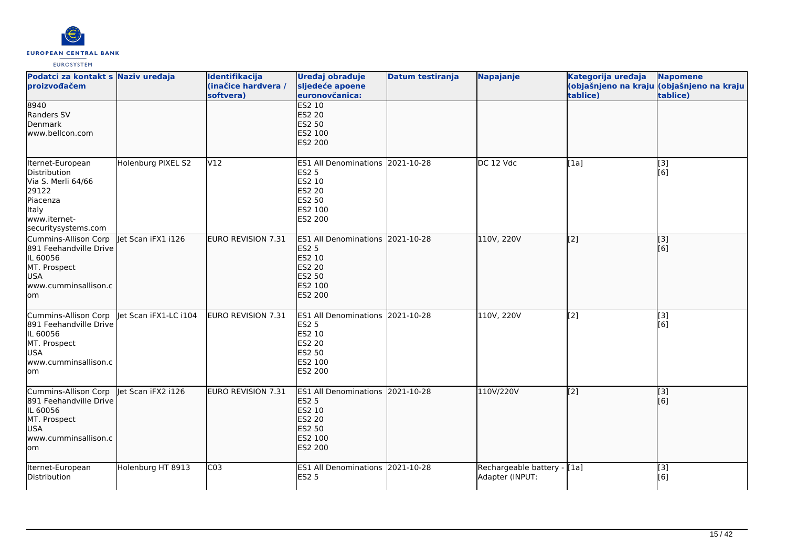

| Podatci za kontakt s Naziv uređaja<br>proizvođačem                                                                          |                       | Identifikacija<br>(inačice hardvera /<br>softvera) | Uređaj obrađuje<br>sljedeće apoene<br>euronovčanica:                                                                         | Datum testiranja | Napajanje                                      | Kategorija uređaja<br>tablice) | <b>Napomene</b><br>(objašnjeno na kraju (objašnjeno na kraju<br>tablice) |
|-----------------------------------------------------------------------------------------------------------------------------|-----------------------|----------------------------------------------------|------------------------------------------------------------------------------------------------------------------------------|------------------|------------------------------------------------|--------------------------------|--------------------------------------------------------------------------|
| 8940<br>Randers SV<br>Denmark<br>www.bellcon.com                                                                            |                       |                                                    | <b>ES2 10</b><br><b>ES2 20</b><br><b>ES2 50</b><br>ES2 100<br><b>ES2 200</b>                                                 |                  |                                                |                                |                                                                          |
| Iternet-European<br>Distribution<br>Via S. Merli 64/66<br>29122<br>Piacenza<br>Italy<br>www.iternet-<br>securitysystems.com | Holenburg PIXEL S2    | V12                                                | ES1 All Denominations 2021-10-28<br><b>ES2 5</b><br>ES2 10<br><b>ES2 20</b><br><b>ES2 50</b><br>ES2 100<br>ES2 200           |                  | DC 12 Vdc                                      | [1a]                           | [3]<br>[6]                                                               |
| Cummins-Allison Corp<br>891 Feehandville Drive<br>IL 60056<br>MT. Prospect<br>USA<br>www.cumminsallison.c<br>lom            | let Scan iFX1 i126    | <b>EURO REVISION 7.31</b>                          | <b>ES1 All Denominations</b><br><b>ES2 5</b><br><b>ES2 10</b><br><b>ES2 20</b><br><b>ES2 50</b><br>ES2 100<br><b>ES2 200</b> | 2021-10-28       | 110V, 220V                                     | [[2]                           | [3]<br>[6]                                                               |
| Cummins-Allison Corp<br>891 Feehandville Drive<br>IL 60056<br>MT. Prospect<br><b>USA</b><br>www.cumminsallison.c<br>lom     | Jet Scan iFX1-LC i104 | EURO REVISION 7.31                                 | ES1 All Denominations 2021-10-28<br><b>ES2 5</b><br>ES2 10<br><b>ES2 20</b><br><b>ES2 50</b><br>ES2 100<br><b>ES2 200</b>    |                  | 110V, 220V                                     | [2]                            | [3]<br>[6]                                                               |
| Cummins-Allison Corp<br>891 Feehandville Drive<br>IL 60056<br>MT. Prospect<br><b>USA</b><br>www.cumminsallison.c<br>om/     | let Scan iFX2 i126    | EURO REVISION 7.31                                 | <b>ES1 All Denominations</b><br><b>ES2 5</b><br>ES2 10<br><b>ES2 20</b><br><b>ES2 50</b><br>ES2 100<br>ES2 200               | 2021-10-28       | 110V/220V                                      | [[2]                           | [[3]<br>[[6]                                                             |
| Iternet-European<br>Distribution                                                                                            | Holenburg HT 8913     | $\overline{C03}$                                   | ES1 All Denominations 2021-10-28<br><b>ES2 5</b>                                                                             |                  | Rechargeable battery - [1a]<br>Adapter (INPUT: |                                | [3]<br>[6]                                                               |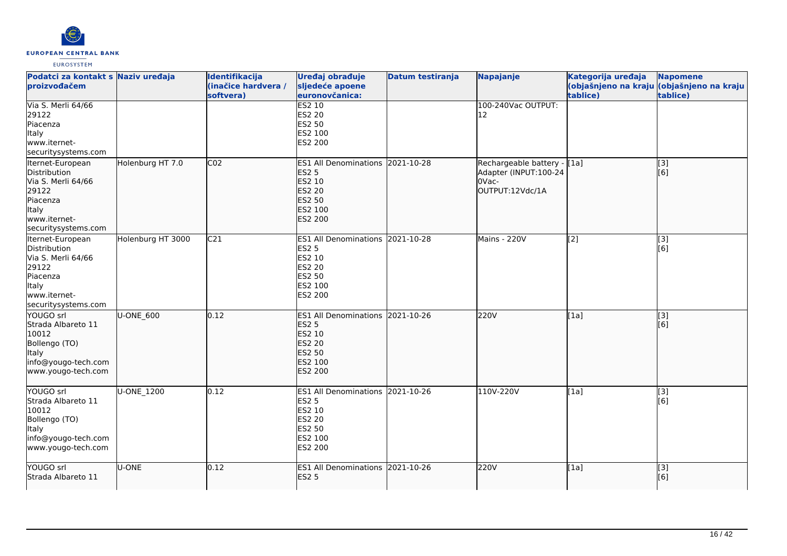

| Podatci za kontakt s Naziv uređaja<br>proizvođačem                                                                                 |                   | Identifikacija<br>(inačice hardvera /<br>softvera) | Uređaj obrađuje<br>sljedeće apoene<br>euronovčanica:                                                                      | <b>Datum testiranja</b> | Napajanje                                                                         | Kategorija uređaja<br>tablice) | <b>Napomene</b><br>(objašnjeno na kraju (objašnjeno na kraju<br>tablice) |
|------------------------------------------------------------------------------------------------------------------------------------|-------------------|----------------------------------------------------|---------------------------------------------------------------------------------------------------------------------------|-------------------------|-----------------------------------------------------------------------------------|--------------------------------|--------------------------------------------------------------------------|
| Via S. Merli 64/66<br>29122<br>Piacenza<br><b>Italy</b><br>www.iternet-<br>securitysystems.com                                     |                   |                                                    | <b>ES2 10</b><br>ES2 20<br>ES2 50<br>ES2 100<br>ES2 200                                                                   |                         | 100-240Vac OUTPUT:<br>12                                                          |                                |                                                                          |
| Iternet-European<br>Distribution<br>Via S. Merli 64/66<br>29122<br>Piacenza<br>Italy<br>www.iternet-<br>securitysystems.com        | Holenburg HT 7.0  | CO <sub>2</sub>                                    | <b>ES1 All Denominations</b><br><b>ES2 5</b><br>ES2 10<br><b>ES2 20</b><br>ES2 50<br>ES2 100<br><b>ES2 200</b>            | 2021-10-28              | Rechargeable battery - [[1a]<br>Adapter (INPUT:100-24<br>OVac-<br>OUTPUT:12Vdc/1A |                                | [[3]<br>[[6]                                                             |
| Iternet-European<br>Distribution<br>Via S. Merli 64/66<br>29122<br>Piacenza<br><b>Italy</b><br>www.iternet-<br>securitysystems.com | Holenburg HT 3000 | C <sub>21</sub>                                    | <b>ES1 All Denominations</b><br><b>ES2 5</b><br>ES2 10<br>ES2 20<br><b>ES2 50</b><br>ES2 100<br>ES2 200                   | 2021-10-28              | Mains - 220V                                                                      | $\overline{[2]}$               | $\overline{[3]}$<br>[6]                                                  |
| YOUGO srl<br>Strada Albareto 11<br>10012<br>Bollengo (TO)<br>Italy<br>info@yougo-tech.com<br>www.yougo-tech.com                    | U-ONE_600         | 0.12                                               | ES1 All Denominations 2021-10-26<br><b>ES2 5</b><br>ES2 10<br><b>ES2 20</b><br><b>ES2 50</b><br>ES2 100<br><b>ES2 200</b> |                         | 220V                                                                              | [1a]                           | [3]<br>[6]                                                               |
| YOUGO srl<br>Strada Albareto 11<br>10012<br>Bollengo (TO)<br>Italy<br>info@yougo-tech.com<br>www.yougo-tech.com                    | <b>U-ONE 1200</b> | 0.12                                               | <b>ES1 All Denominations</b><br><b>ES2 5</b><br>ES2 10<br>ES2 20<br><b>ES2 50</b><br>ES2 100<br>ES2 200                   | 2021-10-26              | 110V-220V                                                                         | [1a]                           | [3]<br>[[6]                                                              |
| YOUGO srl<br>Strada Albareto 11                                                                                                    | U-ONE             | 0.12                                               | ES1 All Denominations 2021-10-26<br><b>ES2 5</b>                                                                          |                         | 220V                                                                              | [1a]                           | $\overline{[}3]$<br>[[6]                                                 |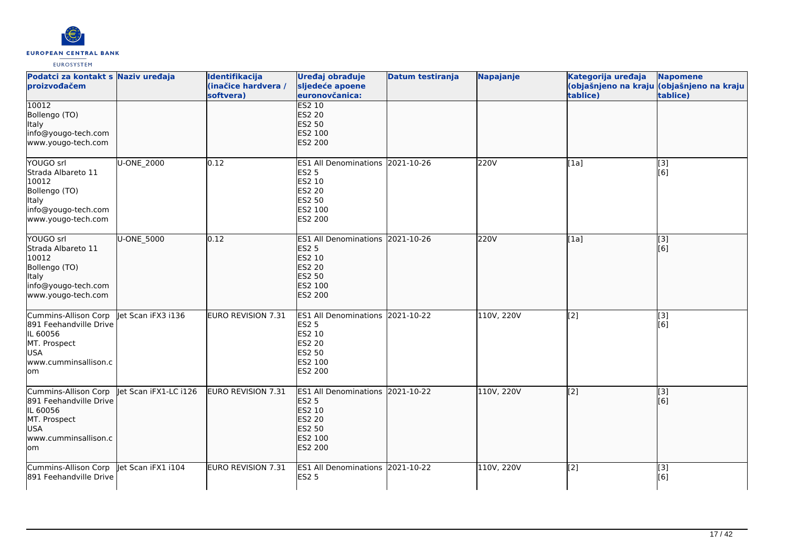

| Podatci za kontakt s Naziv uređaja<br>proizvođačem                                                                      |                       | Identifikacija<br>(inačice hardvera /<br>softvera) | Uređaj obrađuje<br>sljedeće apoene<br>euronovčanica:                                                                         | Datum testiranja | <b>Napajanje</b> | Kategorija uređaja<br>tablice) | <b>Napomene</b><br>(objašnjeno na kraju (objašnjeno na kraju<br>tablice) |
|-------------------------------------------------------------------------------------------------------------------------|-----------------------|----------------------------------------------------|------------------------------------------------------------------------------------------------------------------------------|------------------|------------------|--------------------------------|--------------------------------------------------------------------------|
| 10012<br>Bollengo (TO)<br>Italy<br>info@yougo-tech.com<br>www.yougo-tech.com                                            |                       |                                                    | <b>ES2 10</b><br><b>ES2 20</b><br>ES2 50<br>ES2 100<br><b>ES2 200</b>                                                        |                  |                  |                                |                                                                          |
| YOUGO srl<br>Strada Albareto 11<br>10012<br>Bollengo (TO)<br>Italy<br>info@yougo-tech.com<br>www.yougo-tech.com         | U-ONE 2000            | 0.12                                               | <b>ES1 All Denominations</b><br><b>ES2 5</b><br>ES2 10<br><b>ES2 20</b><br><b>ES2 50</b><br>ES2 100<br>ES2 200               | 2021-10-26       | 220V             | [1a]                           | [3]<br>[6]                                                               |
| YOUGO srl<br>Strada Albareto 11<br>10012<br>Bollengo (TO)<br><b>Italy</b><br>info@yougo-tech.com<br>www.yougo-tech.com  | U-ONE_5000            | 0.12                                               | <b>ES1 All Denominations</b><br><b>ES2 5</b><br>ES2 10<br><b>ES2 20</b><br><b>ES2 50</b><br>ES2 100<br><b>ES2 200</b>        | 2021-10-26       | 220V             | [[1a]                          | [3]<br>[[6]                                                              |
| Cummins-Allison Corp<br>891 Feehandville Drive<br>IL 60056<br>MT. Prospect<br><b>USA</b><br>www.cumminsallison.c<br>lom | let Scan iFX3 i136    | EURO REVISION 7.31                                 | <b>ES1 All Denominations</b><br><b>ES2 5</b><br>ES2 10<br><b>ES2 20</b><br><b>ES2 50</b><br>ES2 100<br>ES2 200               | 2021-10-22       | 110V, 220V       | $\overline{[2]}$               | $\overline{[3]}$<br>[6]                                                  |
| Cummins-Allison Corp<br>891 Feehandville Drive<br>IL 60056<br>MT. Prospect<br>USA<br>www.cumminsallison.c<br>lom        | let Scan iFX1-LC i126 | EURO REVISION 7.31                                 | <b>ES1 All Denominations</b><br><b>ES2 5</b><br>ES2 10<br><b>ES2 20</b><br><b>ES2 50</b><br><b>ES2 100</b><br><b>ES2 200</b> | 2021-10-22       | 110V, 220V       | [[2]                           | $\overline{[}$ [3]<br>[[6]                                               |
| Cummins-Allison Corp<br>891 Feehandville Drive                                                                          | let Scan iFX1 i104    | EURO REVISION 7.31                                 | ES1 All Denominations 2021-10-22<br><b>ES2 5</b>                                                                             |                  | 110V, 220V       | $\overline{[2]}$               | $\overline{[}3]$<br>[6]                                                  |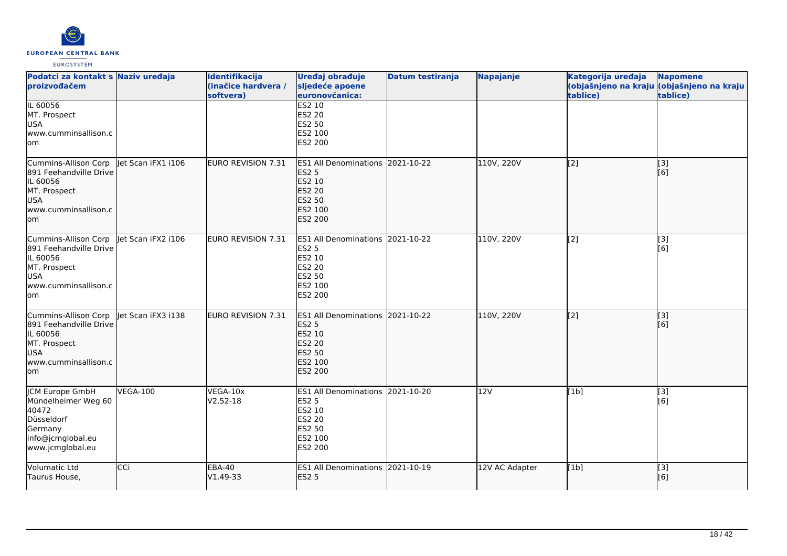

| Podatci za kontakt s Naziv uređaja<br>proizvođačem                                                                      |                    | Identifikacija<br>(inačice hardvera /<br>softvera) | Uređaj obrađuje<br>sljedeće apoene<br>euronovčanica:                                                                      | Datum testiranja | Napajanje      | Kategorija uređaja<br>tablice) | <b>Napomene</b><br>(objašnjeno na kraju (objašnjeno na kraju<br>tablice) |
|-------------------------------------------------------------------------------------------------------------------------|--------------------|----------------------------------------------------|---------------------------------------------------------------------------------------------------------------------------|------------------|----------------|--------------------------------|--------------------------------------------------------------------------|
| IL 60056<br>MT. Prospect<br><b>USA</b><br>www.cumminsallison.c<br>lom                                                   |                    |                                                    | <b>ES2 10</b><br><b>ES2 20</b><br>ES2 50<br>ES2 100<br>ES2 200                                                            |                  |                |                                |                                                                          |
| Cummins-Allison Corp<br>891 Feehandville Drive<br>IL 60056<br>MT. Prospect<br><b>USA</b><br>www.cumminsallison.c<br>lom | let Scan iFX1 i106 | EURO REVISION 7.31                                 | <b>ES1 All Denominations</b><br><b>ES2 5</b><br>ES2 10<br><b>ES2 20</b><br>ES2 50<br>ES2 100<br><b>ES2 200</b>            | 2021-10-22       | 110V, 220V     | [[2]                           | [3]<br>[[6]                                                              |
| Cummins-Allison Corp<br>891 Feehandville Drive<br>IL 60056<br>MT. Prospect<br><b>USA</b><br>www.cumminsallison.c<br>lom | let Scan iFX2 i106 | <b>EURO REVISION 7.31</b>                          | <b>ES1 All Denominations</b><br><b>ES2 5</b><br>ES2 10<br><b>ES2 20</b><br><b>ES2 50</b><br>ES2 100<br><b>ES2 200</b>     | 2021-10-22       | 110V, 220V     | [2]                            | $\overline{[3]}$<br>[6]                                                  |
| Cummins-Allison Corp<br>891 Feehandville Drive<br>IL 60056<br>MT. Prospect<br><b>USA</b><br>www.cumminsallison.c<br>lom | let Scan iFX3 i138 | EURO REVISION 7.31                                 | ES1 All Denominations 2021-10-22<br><b>ES2 5</b><br>ES2 10<br><b>ES2 20</b><br><b>ES2 50</b><br>ES2 100<br><b>ES2 200</b> |                  | 110V, 220V     | [2]                            | [3]<br>[6]                                                               |
| JCM Europe GmbH<br>Mündelheimer Weg 60<br>40472<br>Düsseldorf<br>Germany<br>info@jcmglobal.eu<br>www.jcmglobal.eu       | <b>VEGA-100</b>    | VEGA-10x<br>$V2.52 - 18$                           | <b>ES1 All Denominations</b><br><b>ES2 5</b><br>ES2 10<br><b>ES2 20</b><br><b>ES2 50</b><br>ES2 100<br>ES2 200            | 2021-10-20       | 12V            | [1b]                           | [3]<br>[6]                                                               |
| Volumatic Ltd<br>Taurus House,                                                                                          | CCi                | <b>EBA-40</b><br>V1.49-33                          | ES1 All Denominations 2021-10-19<br><b>ES2 5</b>                                                                          |                  | 12V AC Adapter | [1b]                           | [[3]<br>[[6]                                                             |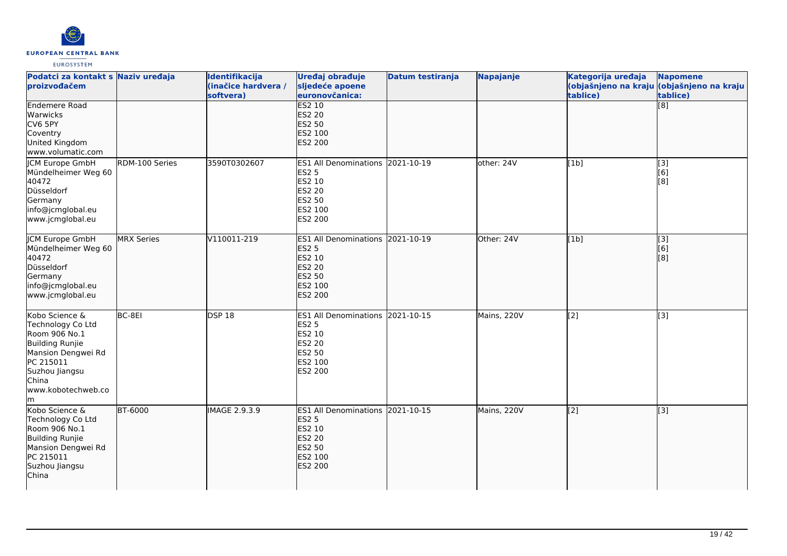

| Podatci za kontakt s Naziv uređaja<br>proizvođačem                                                                                                               |                | Identifikacija<br>(inačice hardvera /<br>softvera) | Uređaj obrađuje<br>sljedeće apoene<br>euronovčanica:                                                               | Datum testiranja | <b>Napajanje</b> | Kategorija uređaja<br>tablice) | <b>Napomene</b><br>(objašnjeno na kraju (objašnjeno na kraju<br>tablice) |
|------------------------------------------------------------------------------------------------------------------------------------------------------------------|----------------|----------------------------------------------------|--------------------------------------------------------------------------------------------------------------------|------------------|------------------|--------------------------------|--------------------------------------------------------------------------|
| <b>Endemere Road</b><br>Warwicks<br>CV6 5PY<br>Coventry<br>United Kingdom<br>www.volumatic.com                                                                   |                |                                                    | ES2 10<br><b>ES2 20</b><br><b>ES2 50</b><br>ES2 100<br>ES2 200                                                     |                  |                  |                                | $\overline{[8]}$                                                         |
| JCM Europe GmbH<br>Mündelheimer Weg 60<br>40472<br>Düsseldorf<br>Germany<br>info@jcmglobal.eu<br>www.jcmglobal.eu                                                | RDM-100 Series | 3590T0302607                                       | ES1 All Denominations 2021-10-19<br><b>ES2 5</b><br>ES2 10<br><b>ES2 20</b><br><b>ES2 50</b><br>ES2 100<br>ES2 200 |                  | other: 24V       | [1b]                           | [3]<br>[6]<br>[8]                                                        |
| JCM Europe GmbH<br>Mündelheimer Weg 60<br>40472<br>Düsseldorf<br>Germany<br>info@jcmglobal.eu<br>www.jcmglobal.eu                                                | MRX Series     | V110011-219                                        | ES1 All Denominations 2021-10-19<br><b>ES2 5</b><br>ES2 10<br><b>ES2 20</b><br>ES2 50<br>ES2 100<br>ES2 200        |                  | Other: 24V       | [1b]                           | [3]<br>[6]<br>[3]                                                        |
| Kobo Science &<br>Technology Co Ltd<br>Room 906 No.1<br>Building Runjie<br>Mansion Dengwei Rd<br>PC 215011<br>Suzhou Jiangsu<br>China<br>www.kobotechweb.co<br>m | BC-8EI         | DSP18                                              | ES1 All Denominations 2021-10-15<br><b>ES2 5</b><br>ES2 10<br><b>ES2 20</b><br>ES2 50<br>ES2 100<br>ES2 200        |                  | Mains, 220V      | [2]                            | $\overline{[3]}$                                                         |
| Kobo Science &<br>Technology Co Ltd<br>Room 906 No.1<br>Building Runjie<br>Mansion Dengwei Rd<br>PC 215011<br>Suzhou Jiangsu<br>China                            | <b>BT-6000</b> | <b>IMAGE 2.9.3.9</b>                               | ES1 All Denominations 2021-10-15<br><b>ES2 5</b><br>ES2 10<br><b>ES2 20</b><br>ES2 50<br>ES2 100<br>ES2 200        |                  | Mains, 220V      | $\overline{[2]}$               | $\overline{[}3]$                                                         |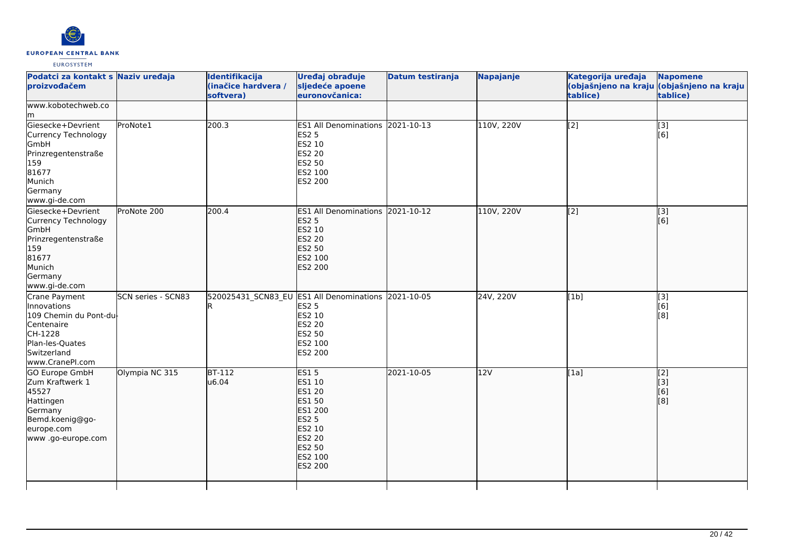

| Podatci za kontakt s Naziv uređaja<br>proizvođačem                                                                                   |                    | Identifikacija<br>(inačice hardvera /<br>softvera) | Uređaj obrađuje<br>sljedeće apoene<br>euronovčanica:                                                                                                        | <b>Datum testiranja</b> | Napajanje  | Kategorija uređaja<br>tablice) | <b>Napomene</b><br>(objašnjeno na kraju (objašnjeno na kraju<br>tablice) |
|--------------------------------------------------------------------------------------------------------------------------------------|--------------------|----------------------------------------------------|-------------------------------------------------------------------------------------------------------------------------------------------------------------|-------------------------|------------|--------------------------------|--------------------------------------------------------------------------|
| www.kobotechweb.co<br>lm.                                                                                                            |                    |                                                    |                                                                                                                                                             |                         |            |                                |                                                                          |
| Giesecke+Devrient<br>Currency Technology<br>GmbH<br>Prinzregentenstraße<br>159<br>81677<br>Munich<br>Germany<br>www.gi-de.com        | ProNote1           | 200.3                                              | ES1 All Denominations 2021-10-13<br><b>ES2 5</b><br>ES2 10<br>ES2 20<br>ES2 50<br>ES2 100<br>ES2 200                                                        |                         | 110V, 220V | [2]                            | $\begin{bmatrix} 3 \\ 6 \end{bmatrix}$                                   |
| Giesecke+Devrient<br>Currency Technology<br>GmbH<br>Prinzregentenstraße<br>159<br>81677<br>Munich<br>Germany<br>www.gi-de.com        | ProNote 200        | 200.4                                              | ES1 All Denominations 2021-10-12<br><b>ES2 5</b><br>ES2 10<br><b>ES2 20</b><br><b>ES2 50</b><br>ES2 100<br><b>ES2 200</b>                                   |                         | 110V, 220V | $\overline{[2]}$               | $\overline{[}3]$<br>[6]                                                  |
| Crane Payment<br>Innovations<br>109 Chemin du Pont-du-<br>Centenaire<br>CH-1228<br>Plan-les-Quates<br>Switzerland<br>www.CranePI.com | SCN series - SCN83 |                                                    | 520025431 SCN83 EU ES1 All Denominations 2021-10-05<br><b>ES2 5</b><br>ES2 10<br>ES2 20<br>ES2 50<br>ES2 100<br>ES2 200                                     |                         | 24V, 220V  | [1b]                           | [3]<br>[6]<br>[8]                                                        |
| <b>GO Europe GmbH</b><br>Zum Kraftwerk 1<br>45527<br>Hattingen<br>Germany<br>Bemd.koenig@go-<br>europe.com<br>www.go-europe.com      | Olympia NC 315     | $BT-112$<br>u6.04                                  | <b>ES15</b><br><b>ES1 10</b><br><b>ES1 20</b><br><b>ES1 50</b><br>ES1 200<br><b>ES2 5</b><br>ES2 10<br>ES2 20<br><b>ES2 50</b><br>ES2 100<br><b>ES2 200</b> | 2021-10-05              | 12V        | [1a]                           | $\overline{[2]}$<br>[3]<br>[6]<br>[8]                                    |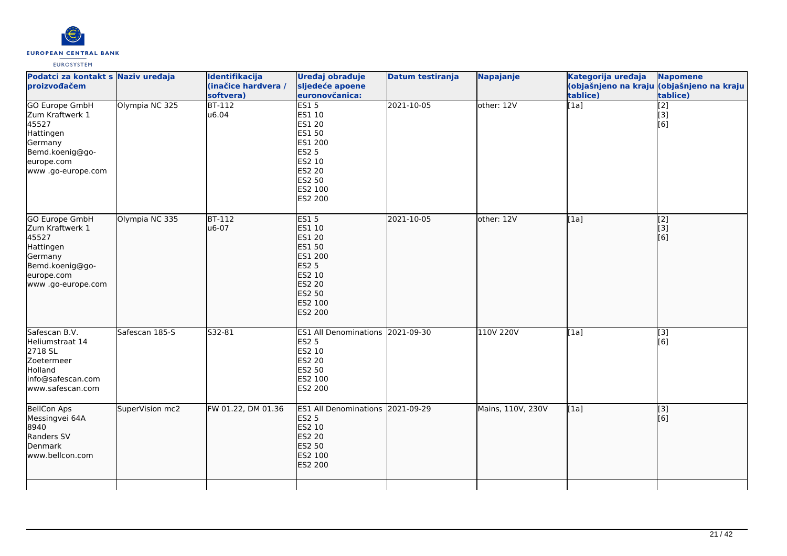

| Podatci za kontakt s Naziv uređaja<br>proizvođačem                                                                              |                 | Identifikacija<br>(inačice hardvera /<br>softvera) | Uređaj obrađuje<br>sljedeće apoene<br>euronovčanica:                                                                     | <b>Datum testiranja</b> | Napajanje         | Kategorija uređaja<br>tablice) | <b>Napomene</b><br>(objašnjeno na kraju <mark>(objašnjeno na kraju</mark>  <br>tablice) |
|---------------------------------------------------------------------------------------------------------------------------------|-----------------|----------------------------------------------------|--------------------------------------------------------------------------------------------------------------------------|-------------------------|-------------------|--------------------------------|-----------------------------------------------------------------------------------------|
| <b>GO Europe GmbH</b><br>Zum Kraftwerk 1<br>45527<br>Hattingen<br>Germany<br>Bemd.koenig@go-<br>europe.com<br>www.go-europe.com | Olympia NC 325  | $BT-112$<br>u6.04                                  | ES15<br>ES1 10<br>ES1 20<br>ES1 50<br>ES1 200<br><b>ES2 5</b><br>ES2 10<br><b>ES2 20</b><br>ES2 50<br>ES2 100<br>ES2 200 | 2021-10-05              | other: 12V        | $\overline{[1a]}$              | $\overline{[2]}$<br>[3]<br>[6]                                                          |
| GO Europe GmbH<br>Zum Kraftwerk 1<br>45527<br>Hattingen<br>Germany<br>Bemd.koenig@go-<br>europe.com<br>www.go-europe.com        | Olympia NC 335  | <b>BT-112</b><br>u6-07                             | <b>ES15</b><br>ES1 10<br>ES1 20<br>ES1 50<br>ES1 200<br><b>ES2 5</b><br>ES2 10<br>ES2 20<br>ES2 50<br>ES2 100<br>ES2 200 | 2021-10-05              | other: 12V        | [1a]                           | $\vert$ [2]<br>$\overline{[}3\overline{]}$<br>[6]                                       |
| Safescan B.V.<br>Heliumstraat 14<br>2718 SL<br>Zoetermeer<br>Holland<br>info@safescan.com<br>www.safescan.com                   | Safescan 185-S  | S32-81                                             | ES1 All Denominations 2021-09-30<br><b>ES2 5</b><br>ES2 10<br>ES2 20<br>ES2 50<br>ES2 100<br>ES2 200                     |                         | 110V 220V         | [1a]                           | $\overline{[}3]$<br>[6]                                                                 |
| <b>BellCon Aps</b><br>Messingvei 64A<br>8940<br>Randers SV<br>Denmark<br>www.bellcon.com                                        | SuperVision mc2 | FW 01.22, DM 01.36                                 | ES1 All Denominations 2021-09-29<br><b>ES2 5</b><br>ES2 10<br><b>ES2 20</b><br>ES2 50<br>ES2 100<br>ES2 200              |                         | Mains, 110V, 230V | [1a]                           | [[3]<br>[6]                                                                             |
|                                                                                                                                 |                 |                                                    |                                                                                                                          |                         |                   |                                |                                                                                         |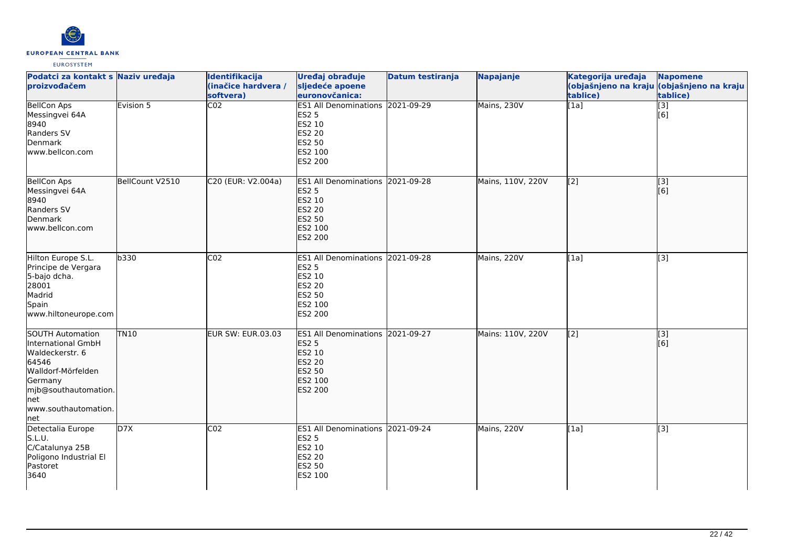

| Podatci za kontakt s Naziv uređaja<br><b>proizvođačem</b>                                                                                                           |                 | Identifikacija<br>(inačice hardvera /<br>softvera) | Uređaj obrađuje<br>sljedeće apoene<br>euronovčanica:                                                        | Datum testiranja | Napajanje         | Kategorija uređaja<br>tablice) | <b>Napomene</b><br>(objašnjeno na kraju (objašnjeno na kraju<br>tablice) |
|---------------------------------------------------------------------------------------------------------------------------------------------------------------------|-----------------|----------------------------------------------------|-------------------------------------------------------------------------------------------------------------|------------------|-------------------|--------------------------------|--------------------------------------------------------------------------|
| <b>BellCon Aps</b><br>Messingvei 64A<br>8940<br>Randers SV<br>Denmark<br>www.bellcon.com                                                                            | Evision 5       | $\overline{CO2}$                                   | ES1 All Denominations 2021-09-29<br><b>ES2 5</b><br>ES2 10<br>ES2 20<br>ES2 50<br>ES2 100<br>ES2 200        |                  | Mains, 230V       | $\overline{[1a]}$              | $\overline{[3]}$<br>[6]                                                  |
| <b>BellCon Aps</b><br>Messingvei 64A<br>8940<br>Randers SV<br>lDenmark<br>lwww.bellcon.com                                                                          | BellCount V2510 | C20 (EUR: V2.004a)                                 | ES1 All Denominations 2021-09-28<br><b>ES2 5</b><br>ES2 10<br>ES2 20<br><b>ES2 50</b><br>ES2 100<br>ES2 200 |                  | Mains, 110V, 220V | $\overline{[2]}$               | $\overline{[3]}$<br>[6]                                                  |
| Hilton Europe S.L.<br>Principe de Vergara<br>5-bajo dcha.<br>28001<br>Madrid<br>Spain<br>www.hiltoneurope.com                                                       | b330            | CO <sub>2</sub>                                    | ES1 All Denominations 2021-09-28<br><b>ES2 5</b><br>ES2 10<br>ES2 20<br>ES2 50<br>ES2 100<br>ES2 200        |                  | Mains, 220V       | [1a]                           | [3]                                                                      |
| SOUTH Automation<br>International GmbH<br>Waldeckerstr. 6<br>64546<br>Walldorf-Mörfelden<br>Germany<br>mjb@southautomation.<br>lnet<br>www.southautomation.<br>lnet | <b>TN10</b>     | <b>EUR SW: EUR.03.03</b>                           | ES1 All Denominations 2021-09-27<br><b>ES2 5</b><br>ES2 10<br><b>ES2 20</b><br>ES2 50<br>ES2 100<br>ES2 200 |                  | Mains: 110V, 220V | $\overline{[2]}$               | $\overline{[}3]$<br>[6]                                                  |
| Detectalia Europe<br>S.L.U.<br>C/Catalunya 25B<br>Poligono Industrial El<br>Pastoret<br>3640                                                                        | D7X             | CO <sub>2</sub>                                    | ES1 All Denominations 2021-09-24<br><b>ES2 5</b><br>ES2 10<br>ES2 20<br>ES2 50<br>ES2 100                   |                  | Mains, 220V       | [1a]                           | $\overline{[3]}$                                                         |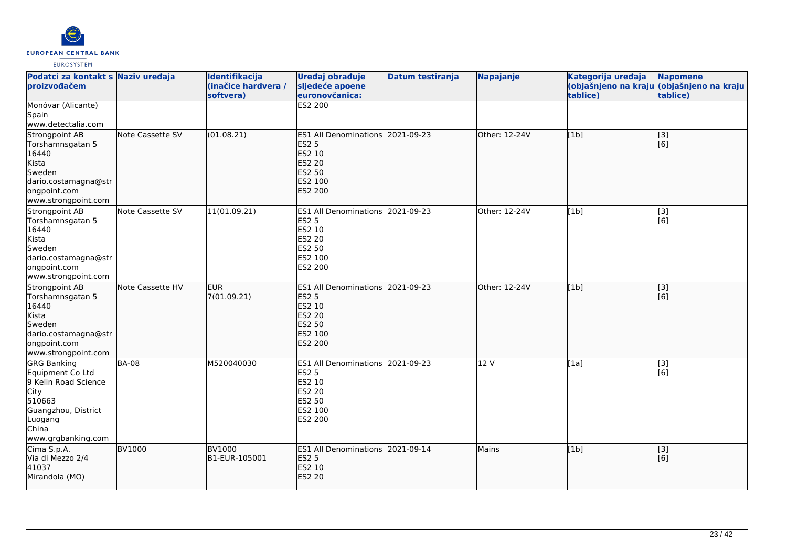

| Podatci za kontakt s Naziv uređaja<br>proizvođačem                                                                                                |                  | Identifikacija<br>(inačice hardvera /<br>softvera) | Uređaj obrađuje<br>sljedeće apoene<br>euronovčanica:                                                                  | <b>Datum testiranja</b> | Napajanje     | Kategorija uređaja<br>tablice) | <b>Napomene</b><br>(objašnjeno na kraju (objašnjeno na kraju<br>tablice) |
|---------------------------------------------------------------------------------------------------------------------------------------------------|------------------|----------------------------------------------------|-----------------------------------------------------------------------------------------------------------------------|-------------------------|---------------|--------------------------------|--------------------------------------------------------------------------|
| Monóvar (Alicante)<br>Spain<br>www.detectalia.com                                                                                                 |                  |                                                    | <b>ES2 200</b>                                                                                                        |                         |               |                                |                                                                          |
| Strongpoint AB<br>Torshamnsgatan 5<br>16440<br>Kista<br>Sweden<br>dario.costamagna@str<br>ongpoint.com<br>www.strongpoint.com                     | Note Cassette SV | (01.08.21)                                         | ES1 All Denominations 2021-09-23<br><b>ES2 5</b><br>ES2 10<br>ES2 20<br><b>ES2 50</b><br>ES2 100<br>ES2 200           |                         | Other: 12-24V | [1b]                           | $\overline{[3]}$<br>[6]                                                  |
| Strongpoint AB<br>Torshamnsgatan 5<br>16440<br>Kista<br>Sweden<br>dario.costamagna@str<br>ongpoint.com<br>www.strongpoint.com                     | Note Cassette SV | 11(01.09.21)                                       | ES1 All Denominations 2021-09-23<br><b>ES2 5</b><br>ES2 10<br><b>ES2 20</b><br>ES2 50<br>ES2 100<br>ES2 200           |                         | Other: 12-24V | [1b]                           | $\overline{[}3]$<br>[6]                                                  |
| Strongpoint AB<br>Torshamnsgatan 5<br>16440<br>Kista<br>Sweden<br>dario.costamagna@str<br>ongpoint.com<br>www.strongpoint.com                     | Note Cassette HV | <b>EUR</b><br>7(01.09.21)                          | ES1 All Denominations 2021-09-23<br><b>ES2 5</b><br>ES2 10<br><b>ES2 20</b><br>ES2 50<br>ES2 100<br><b>ES2 200</b>    |                         | Other: 12-24V | [1b]                           | $\overline{[}3]$<br>[6]                                                  |
| <b>GRG Banking</b><br>Equipment Co Ltd<br>9 Kelin Road Science<br>City<br>510663<br>Guangzhou, District<br>Luogang<br>China<br>www.grgbanking.com | <b>BA-08</b>     | M520040030                                         | <b>ES1 All Denominations</b><br><b>ES2 5</b><br>ES2 10<br><b>ES2 20</b><br><b>ES2 50</b><br>ES2 100<br><b>ES2 200</b> | 2021-09-23              | 12 V          | [1a]                           | [3]<br>[6]                                                               |
| Cima S.p.A.<br>Via di Mezzo 2/4<br>41037<br>Mirandola (MO)                                                                                        | <b>BV1000</b>    | <b>BV1000</b><br>B1-EUR-105001                     | ES1 All Denominations 2021-09-14<br><b>ES2 5</b><br>ES2 10<br><b>ES2 20</b>                                           |                         | Mains         | [1b]                           | [3]<br>[6]                                                               |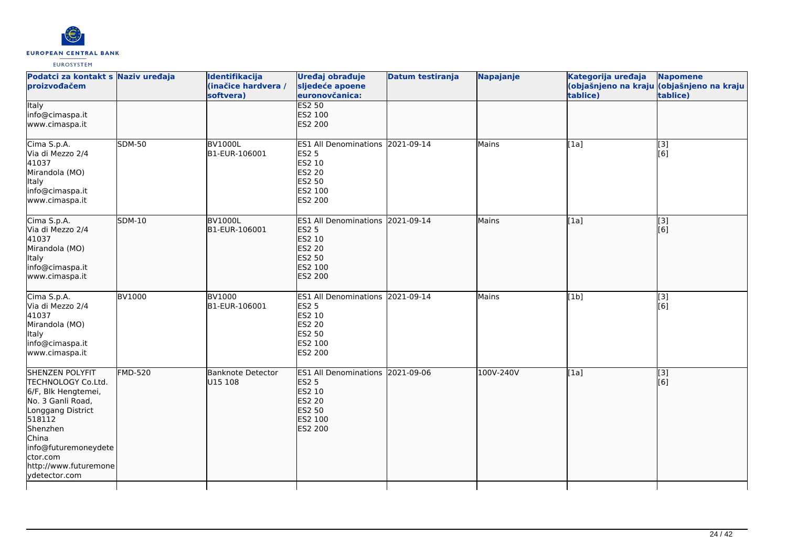

| Podatci za kontakt s Naziv uređaja<br>proizvođačem                                                                                                                                                                         |                | Identifikacija<br>(inačice hardvera /<br>softvera) | Uređaj obrađuje<br>sljedeće apoene<br>euronovčanica:                                                                      | <b>Datum testiranja</b> | Napajanje | Kategorija uređaja<br>tablice) | <b>Napomene</b><br>(objašnjeno na kraju <mark>(objašnjeno na kraju </mark><br>tablice) |
|----------------------------------------------------------------------------------------------------------------------------------------------------------------------------------------------------------------------------|----------------|----------------------------------------------------|---------------------------------------------------------------------------------------------------------------------------|-------------------------|-----------|--------------------------------|----------------------------------------------------------------------------------------|
| <b>Italy</b><br>info@cimaspa.it<br>www.cimaspa.it                                                                                                                                                                          |                |                                                    | <b>ES2 50</b><br>ES2 100<br><b>ES2 200</b>                                                                                |                         |           |                                |                                                                                        |
| Cima S.p.A.<br>Via di Mezzo 2/4<br>41037<br>Mirandola (MO)<br>Italy<br>info@cimaspa.it<br>www.cimaspa.it                                                                                                                   | <b>SDM-50</b>  | <b>BV1000L</b><br>B1-EUR-106001                    | ES1 All Denominations 2021-09-14<br><b>ES2 5</b><br>ES2 10<br>ES2 20<br><b>ES2 50</b><br>ES2 100<br>ES2 200               |                         | Mains     | [1a]                           | [3]<br>[6]                                                                             |
| Cima S.p.A.<br>Via di Mezzo 2/4<br>41037<br>Mirandola (MO)<br>Italy<br>info@cimaspa.it<br>www.cimaspa.it                                                                                                                   | <b>SDM-10</b>  | <b>BV1000L</b><br>B1-EUR-106001                    | ES1 All Denominations 2021-09-14<br><b>ES2 5</b><br><b>ES2 10</b><br><b>ES2 20</b><br>ES2 50<br>ES2 100<br><b>ES2 200</b> |                         | Mains     | [1a]                           | [3]<br>[6]                                                                             |
| Cima S.p.A.<br>Via di Mezzo 2/4<br>41037<br>Mirandola (MO)<br><b>Italy</b><br>info@cimaspa.it<br>www.cimaspa.it                                                                                                            | <b>BV1000</b>  | <b>BV1000</b><br>B1-EUR-106001                     | <b>ES1 All Denominations</b><br>ES2 5<br>ES2 10<br><b>ES2 20</b><br>ES2 50<br>ES2 100<br>ES2 200                          | 2021-09-14              | Mains     | [1b]                           | [3]<br>[6]                                                                             |
| <b>SHENZEN POLYFIT</b><br>TECHNOLOGY Co.Ltd.<br>6/F, Blk Hengtemei,<br>No. 3 Ganli Road,<br>Longgang District<br>518112<br>Shenzhen<br>China<br>info@futuremoneydete<br>ctor.com<br>http://www.futuremone<br>ydetector.com | <b>FMD-520</b> | <b>Banknote Detector</b><br>U15 108                | ES1 All Denominations 2021-09-06<br><b>ES2 5</b><br>ES2 10<br><b>ES2 20</b><br><b>ES2 50</b><br>ES2 100<br>ES2 200        |                         | 100V-240V | [1a]                           | $\sqrt{3}$<br>[6]                                                                      |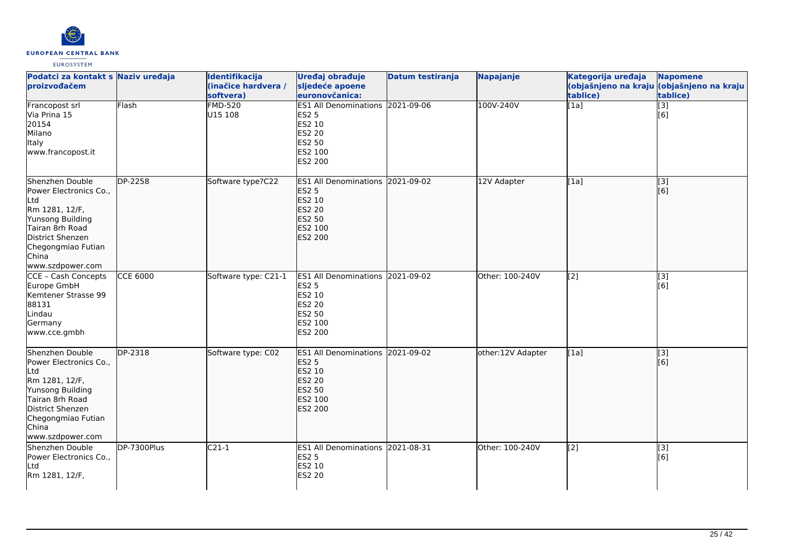

| Podatci za kontakt s Naziv uređaja<br>proizvođačem                                                                                                                                |                 | Identifikacija<br>(inačice hardvera /<br>softvera) | Uređaj obrađuje<br>sljedeće apoene<br>euronovčanica:                                                                      | <b>Datum testiranja</b> | <b>Napajanje</b>  | Kategorija uređaja<br>tablice) | <b>Napomene</b><br>(objašnjeno na kraju (objašnjeno na kraju<br>tablice) |
|-----------------------------------------------------------------------------------------------------------------------------------------------------------------------------------|-----------------|----------------------------------------------------|---------------------------------------------------------------------------------------------------------------------------|-------------------------|-------------------|--------------------------------|--------------------------------------------------------------------------|
| Francopost srl<br>Via Prina 15<br>20154<br>Milano<br>Italy<br>www.francopost.it                                                                                                   | Flash           | <b>FMD-520</b><br>U15 108                          | ES1 All Denominations 2021-09-06<br><b>ES2 5</b><br>ES2 10<br><b>ES2 20</b><br><b>ES2 50</b><br>ES2 100<br>ES2 200        |                         | 100V-240V         | [1a]                           | $\overline{[3]}$<br>[6]                                                  |
| Shenzhen Double<br>Power Electronics Co.,<br> Ltd<br>Rm 1281, 12/F,<br>Yunsong Building<br>Tairan 8rh Road<br>District Shenzen<br>Chegongmiao Futian<br>China<br>www.szdpower.com | DP-2258         | Software type?C22                                  | ES1 All Denominations 2021-09-02<br><b>ES2 5</b><br>ES2 10<br><b>ES2 20</b><br><b>ES2 50</b><br>ES2 100<br>ES2 200        |                         | 12V Adapter       | [1a]                           | [3]<br>[6]                                                               |
| CCE - Cash Concepts<br>Europe GmbH<br>Kemtener Strasse 99<br>88131<br>Lindau<br>Germany<br>www.cce.gmbh                                                                           | <b>CCE 6000</b> | Software type: C21-1                               | ES1 All Denominations 2021-09-02<br><b>ES2 5</b><br>ES2 10<br><b>ES2 20</b><br><b>ES2 50</b><br>ES2 100<br><b>ES2 200</b> |                         | Other: 100-240V   | [2]                            | [3]<br>[6]                                                               |
| Shenzhen Double<br>Power Electronics Co.,<br>Ltd<br>Rm 1281, 12/F,<br>Yunsong Building<br>Tairan 8rh Road<br>District Shenzen<br>Chegongmiao Futian<br>China<br>www.szdpower.com  | DP-2318         | Software type: C02                                 | <b>ES1 All Denominations</b><br><b>ES2 5</b><br>ES2 10<br><b>ES2 20</b><br><b>ES2 50</b><br>ES2 100<br><b>ES2 200</b>     | 2021-09-02              | other:12V Adapter | [1a]                           | [3]<br>[6]                                                               |
| Shenzhen Double<br>Power Electronics Co.,<br>Ltd<br>Rm 1281, 12/F,                                                                                                                | DP-7300Plus     | $C21-1$                                            | ES1 All Denominations 2021-08-31<br><b>ES2 5</b><br>ES2 10<br><b>ES2 20</b>                                               |                         | Other: 100-240V   | [2]                            | [3]<br>[6]                                                               |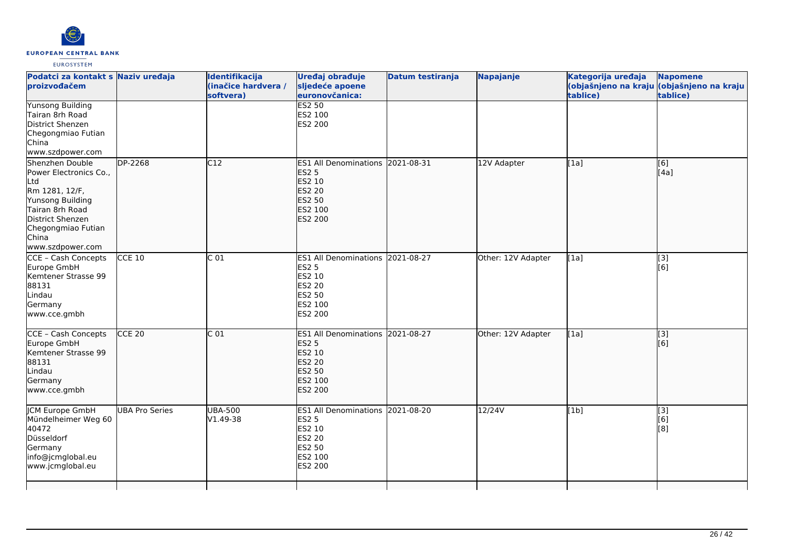

|                       | Identifikacija<br>(inačice hardvera /<br>softvera)                                    |                   |                                                                                                                                                                                                                                                                                                                                                                                                                                                                                                                |                                                                                                | Kategorija uređaja<br>tablice)  | <b>Napomene</b><br>(objašnjeno na kraju (objašnjeno na kraju<br>tablice) |
|-----------------------|---------------------------------------------------------------------------------------|-------------------|----------------------------------------------------------------------------------------------------------------------------------------------------------------------------------------------------------------------------------------------------------------------------------------------------------------------------------------------------------------------------------------------------------------------------------------------------------------------------------------------------------------|------------------------------------------------------------------------------------------------|---------------------------------|--------------------------------------------------------------------------|
|                       |                                                                                       |                   |                                                                                                                                                                                                                                                                                                                                                                                                                                                                                                                |                                                                                                |                                 |                                                                          |
|                       | C12                                                                                   |                   |                                                                                                                                                                                                                                                                                                                                                                                                                                                                                                                | 12V Adapter                                                                                    | [[1a]                           | [[6]<br>[[4a]                                                            |
|                       |                                                                                       |                   |                                                                                                                                                                                                                                                                                                                                                                                                                                                                                                                | Other: 12V Adapter                                                                             | [1a]                            | [3]<br>$\overline{[}6\overline{)}$                                       |
|                       | C <sub>01</sub>                                                                       |                   |                                                                                                                                                                                                                                                                                                                                                                                                                                                                                                                |                                                                                                | [1a]                            | $\overline{[3]}$<br>[[6]                                                 |
| <b>UBA Pro Series</b> | <b>UBA-500</b><br>V1.49-38                                                            |                   |                                                                                                                                                                                                                                                                                                                                                                                                                                                                                                                | 12/24V                                                                                         | [1b]                            | $\overline{[}3]$<br>[6]<br>[8]                                           |
|                       | Podatci za kontakt s Naziv uređaja<br><b>DP-2268</b><br>$CCE$ 10<br>CCE <sub>20</sub> | $\overline{C}$ 01 | Uređaj obrađuje<br>sljedeće apoene<br>euronovčanica:<br><b>ES2 50</b><br>ES2 100<br>ES2 200<br><b>ES1 All Denominations</b><br><b>ES2 5</b><br>ES2 10<br><b>ES2 20</b><br>ES2 50<br>ES2 100<br><b>ES2 200</b><br><b>ES1 All Denominations</b><br><b>ES2 5</b><br>ES2 10<br><b>ES2 20</b><br>ES2 50<br>ES2 100<br>ES2 200<br><b>ES2 5</b><br>ES2 10<br><b>ES2 20</b><br>ES2 50<br>ES2 100<br><b>ES2 200</b><br><b>ES1 All Denominations</b><br><b>ES2 5</b><br>ES2 10<br>ES2 20<br>ES2 50<br>ES2 100<br>ES2 200 | Datum testiranja<br>2021-08-31<br>2021-08-27<br>ES1 All Denominations 2021-08-27<br>2021-08-20 | Napajanje<br>Other: 12V Adapter |                                                                          |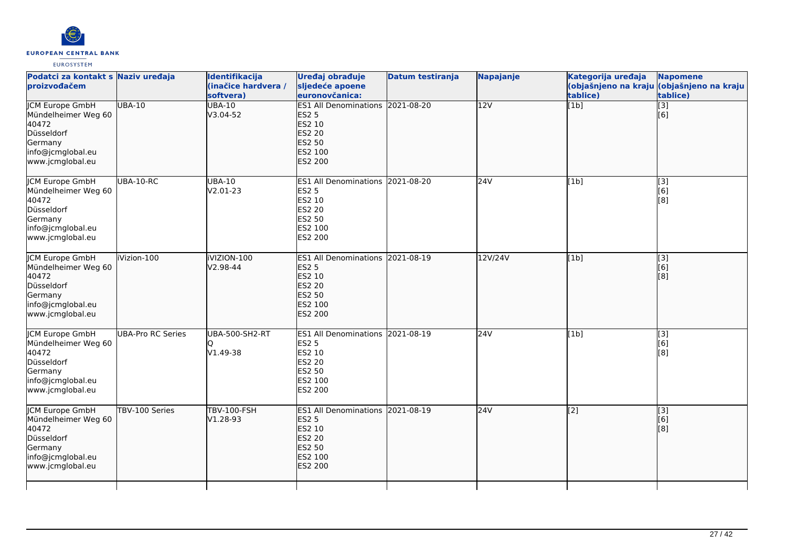

| Podatci za kontakt s Naziv uređaja<br>proizvođačem                                                                       |                          | Identifikacija<br>(inačice hardvera /<br>softvera) | Uređaj obrađuje<br>sljedeće apoene<br>euronovčanica:                                                                      | <b>Datum testiranja</b> | Napajanje | Kategorija uređaja<br>tablice) | <b>Napomene</b><br>(objašnjeno na kraju (objašnjeno na kraju<br>tablice) |
|--------------------------------------------------------------------------------------------------------------------------|--------------------------|----------------------------------------------------|---------------------------------------------------------------------------------------------------------------------------|-------------------------|-----------|--------------------------------|--------------------------------------------------------------------------|
| <b>JCM Europe GmbH</b><br>Mündelheimer Weg 60<br>40472<br>Düsseldorf<br>Germany<br>info@jcmglobal.eu<br>www.jcmglobal.eu | <b>UBA-10</b>            | <b>UBA-10</b><br>V3.04-52                          | ES1 All Denominations 2021-08-20<br><b>ES2 5</b><br>ES2 10<br><b>ES2 20</b><br>ES2 50<br>ES2 100<br>ES2 200               |                         | 12V       | $\overline{[1b]}$              | $\overline{[}3]$<br>[6]                                                  |
| <b>JCM Europe GmbH</b><br>Mündelheimer Weg 60<br>40472<br>Düsseldorf<br>Germany<br>info@jcmglobal.eu<br>www.jcmglobal.eu | UBA-10-RC                | <b>UBA-10</b><br>V2.01-23                          | ES1 All Denominations 2021-08-20<br><b>ES2 5</b><br>ES2 10<br>ES2 20<br><b>ES2 50</b><br>ES2 100<br>ES2 200               |                         | 24V       | [1b]                           | $\begin{bmatrix} 3 \\ 6 \end{bmatrix}$<br>$\overline{[}8\overline{]}$    |
| <b>ICM Europe GmbH</b><br>Mündelheimer Weg 60<br>40472<br>Düsseldorf<br>Germany<br>info@jcmglobal.eu<br>www.jcmglobal.eu | iVizion-100              | iVIZION-100<br>V2.98-44                            | ES1 All Denominations 2021-08-19<br><b>ES2 5</b><br>ES2 10<br>ES2 20<br>ES2 50<br>ES2 100<br><b>ES2 200</b>               |                         | 12V/24V   | [1b]                           | $\begin{bmatrix} 3 \\ 6 \end{bmatrix}$<br>[8]                            |
| <b>JCM Europe GmbH</b><br>Mündelheimer Weg 60<br>40472<br>Düsseldorf<br>Germany<br>info@jcmglobal.eu<br>www.jcmglobal.eu | <b>UBA-Pro RC Series</b> | UBA-500-SH2-RT<br>V1.49-38                         | ES1 All Denominations 2021-08-19<br><b>ES2 5</b><br>ES2 10<br><b>ES2 20</b><br>ES2 50<br>ES2 100<br>ES2 200               |                         | 24V       | [1b]                           | [3]<br>[6]<br>[8]                                                        |
| <b>JCM Europe GmbH</b><br>Mündelheimer Weg 60<br>40472<br>Düsseldorf<br>Germany<br>info@jcmglobal.eu<br>www.jcmglobal.eu | TBV-100 Series           | <b>TBV-100-FSH</b><br>V1.28-93                     | ES1 All Denominations 2021-08-19<br><b>ES2 5</b><br>ES2 10<br><b>ES2 20</b><br><b>ES2 50</b><br>ES2 100<br><b>ES2 200</b> |                         | 24V       | $\overline{[2]}$               | [3]<br>[6]<br>[8]                                                        |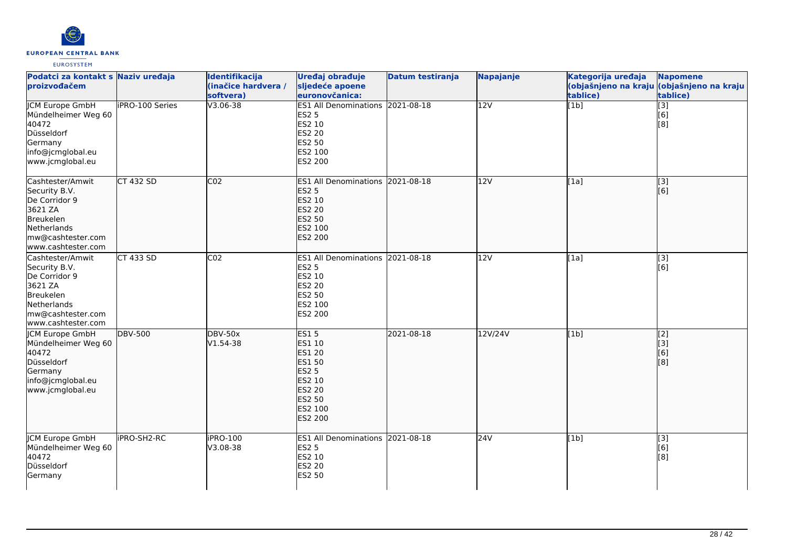

| Podatci za kontakt s Naziv uređaja<br>proizvođačem                                                                                   |                        | Identifikacija<br>(inačice hardvera /<br>softvera) | Uređaj obrađuje<br>sljedeće apoene<br>euronovčanica:                                                                                      | Datum testiranja | <b>Napajanje</b> | Kategorija uređaja<br>tablice) | <b>Napomene</b><br>(objašnjeno na kraju (objašnjeno na kraju<br>tablice) |
|--------------------------------------------------------------------------------------------------------------------------------------|------------------------|----------------------------------------------------|-------------------------------------------------------------------------------------------------------------------------------------------|------------------|------------------|--------------------------------|--------------------------------------------------------------------------|
| <b>JCM Europe GmbH</b><br>Mündelheimer Weg 60<br>40472<br>Düsseldorf<br>Germany<br>info@jcmglobal.eu<br>www.jcmglobal.eu             | <b>iPRO-100 Series</b> | V3.06-38                                           | ES1 All Denominations 2021-08-18<br><b>ES2 5</b><br>ES2 10<br><b>ES2 20</b><br>ES2 50<br>ES2 100<br>ES2 200                               |                  | 12V              | [1b]                           | $\overline{[}3]$<br>[6]<br>[8]                                           |
| Cashtester/Amwit<br>Security B.V.<br>De Corridor 9<br>3621 ZA<br>Breukelen<br>Netherlands<br>mw@cashtester.com<br>www.cashtester.com | <b>CT 432 SD</b>       | CO <sub>2</sub>                                    | ES1 All Denominations 2021-08-18<br><b>ES2 5</b><br>ES2 10<br><b>ES2 20</b><br><b>ES2 50</b><br>ES2 100<br>ES2 200                        |                  | 12V              | [1a]                           | $\overline{[3]}$<br>[6]                                                  |
| Cashtester/Amwit<br>Security B.V.<br>De Corridor 9<br>3621 ZA<br>Breukelen<br>Netherlands<br>mw@cashtester.com<br>www.cashtester.com | <b>CT 433 SD</b>       | CO <sub>2</sub>                                    | <b>ES1 All Denominations</b><br><b>ES2 5</b><br>ES2 10<br><b>ES2 20</b><br>ES2 50<br>ES2 100<br>ES2 200                                   | 2021-08-18       | 12V              | [1a]                           | $\overline{[3]}$<br>[6]                                                  |
| JCM Europe GmbH<br>Mündelheimer Weg 60<br>40472<br>Düsseldorf<br>Germany<br>info@jcmglobal.eu<br>www.jcmglobal.eu                    | <b>DBV-500</b>         | <b>DBV-50x</b><br>V1.54-38                         | <b>ES15</b><br>ES1 10<br><b>ES1 20</b><br><b>ES1 50</b><br><b>ES2 5</b><br>ES2 10<br><b>ES2 20</b><br><b>ES2 50</b><br>ES2 100<br>ES2 200 | 2021-08-18       | 12V/24V          | [1b]                           | [2]<br>[3]<br>[6]<br>[8]                                                 |
| <b>CM Europe GmbH</b><br>Mündelheimer Weg 60<br>40472<br>Düsseldorf<br>Germany                                                       | iPRO-SH2-RC            | iPRO-100<br>V3.08-38                               | ES1 All Denominations 2021-08-18<br><b>ES2 5</b><br>ES2 10<br><b>ES2 20</b><br><b>ES2 50</b>                                              |                  | 24V              | [1b]                           | [3]<br>[6]<br>[8]                                                        |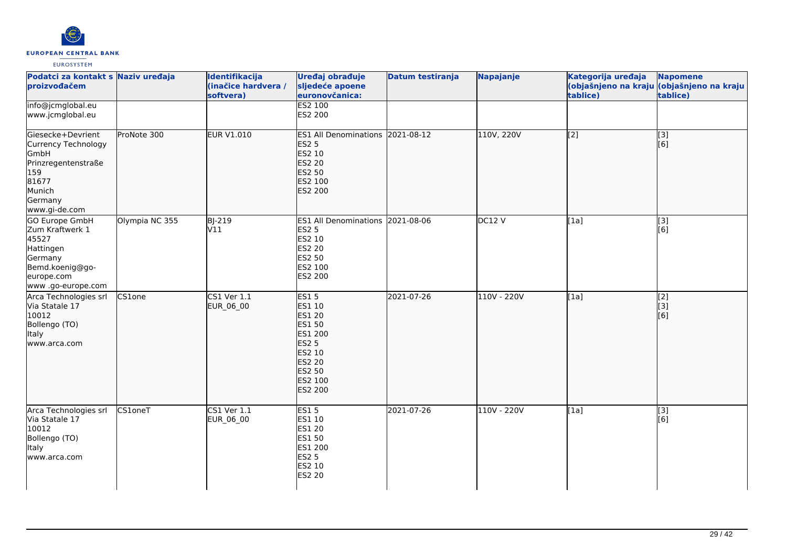

| Podatci za kontakt s Naziv uređaja<br>proizvođačem                                                                            |                | Identifikacija<br>(inačice hardvera /<br>softvera) | Uređaj obrađuje<br>sljedeće apoene<br>euronovčanica:                                                                                          | <b>Datum testiranja</b> | Napajanje   | Kategorija uređaja<br>tablice) | <b>Napomene</b><br>(objašnjeno na kraju (objašnjeno na kraju<br>tablice) |
|-------------------------------------------------------------------------------------------------------------------------------|----------------|----------------------------------------------------|-----------------------------------------------------------------------------------------------------------------------------------------------|-------------------------|-------------|--------------------------------|--------------------------------------------------------------------------|
| info@jcmglobal.eu<br>www.jcmglobal.eu                                                                                         |                |                                                    | <b>ES2 100</b><br>ES2 200                                                                                                                     |                         |             |                                |                                                                          |
| Giesecke+Devrient<br>Currency Technology<br>GmbH<br>Prinzregentenstraße<br>159<br>81677<br>Munich<br>Germany<br>www.gi-de.com | ProNote 300    | <b>EUR V1.010</b>                                  | ES1 All Denominations 2021-08-12<br><b>ES2 5</b><br>ES2 10<br><b>ES2 20</b><br>ES2 50<br>ES2 100<br><b>ES2 200</b>                            |                         | 110V, 220V  | $\overline{[2]}$               | $\begin{bmatrix} 3 \\ 6 \end{bmatrix}$                                   |
| GO Europe GmbH<br>Zum Kraftwerk 1<br>45527<br>Hattingen<br>Germany<br>Bemd.koenig@go-<br>europe.com<br>www .go-europe.com     | Olympia NC 355 | BJ-219<br>V11                                      | ES1 All Denominations 2021-08-06<br><b>ES2 5</b><br>ES2 10<br>ES2 20<br>ES2 50<br>ES2 100<br>ES2 200                                          |                         | DC12V       | [1a]                           | $[3]$<br>[6]                                                             |
| Arca Technologies srl<br>Via Statale 17<br>10012<br>Bollengo (TO)<br><b>Italy</b><br>www.arca.com                             | CS1one         | CS1 Ver 1.1<br>EUR_06_00                           | <b>ES15</b><br>ES1 10<br><b>ES1 20</b><br><b>ES1 50</b><br>ES1 200<br><b>ES2 5</b><br>ES2 10<br>ES2 20<br>ES2 50<br>ES2 100<br><b>ES2 200</b> | 2021-07-26              | 110V - 220V | [1a]                           | $\begin{bmatrix} 2 \\ 3 \end{bmatrix}$<br>[6]                            |
| Arca Technologies srl<br>Via Statale 17<br>10012<br>Bollengo (TO)<br>Italy<br>www.arca.com                                    | <b>CS1oneT</b> | CS1 Ver 1.1<br>EUR_06_00                           | <b>ES15</b><br>ES1 10<br>ES1 20<br>ES1 50<br>ES1 200<br><b>ES2 5</b><br>ES2 10<br>ES2 20                                                      | 2021-07-26              | 110V - 220V | [1a]                           | [3]<br>[6]                                                               |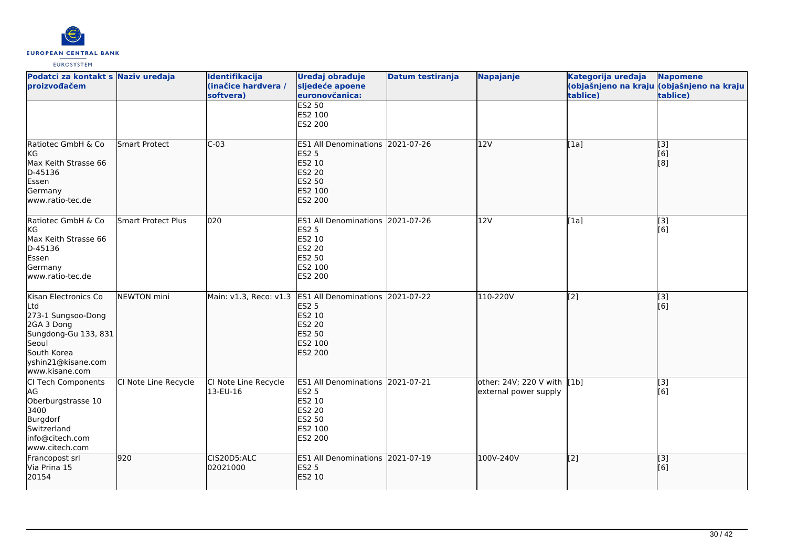

| Podatci za kontakt s Naziv uređaja<br>proizvođačem                                                                                                      |                           | Identifikacija<br>(inačice hardvera /<br>softvera) | Uređaj obrađuje<br>sljedeće apoene<br>euronovčanica:                                                                  | <b>Datum testiranja</b> | Napajanje                                            | Kategorija uređaja<br>tablice) | <b>Napomene</b><br>(objašnjeno na kraju (objašnjeno na kraju<br>tablice) |
|---------------------------------------------------------------------------------------------------------------------------------------------------------|---------------------------|----------------------------------------------------|-----------------------------------------------------------------------------------------------------------------------|-------------------------|------------------------------------------------------|--------------------------------|--------------------------------------------------------------------------|
|                                                                                                                                                         |                           |                                                    | <b>ES2 50</b><br>ES2 100<br>ES2 200                                                                                   |                         |                                                      |                                |                                                                          |
| Ratiotec GmbH & Co<br>kg<br>Max Keith Strasse 66<br>D-45136<br>Essen<br>Germany<br>www.ratio-tec.de                                                     | <b>Smart Protect</b>      | $C-03$                                             | <b>ES1 All Denominations</b><br><b>ES2 5</b><br>ES2 10<br><b>ES2 20</b><br>ES2 50<br>ES2 100<br><b>ES2 200</b>        | 2021-07-26              | 12V                                                  | [1a]                           | $\overline{[}3]$<br>[6]<br>[8]                                           |
| Ratiotec GmbH & Co<br>kG<br>Max Keith Strasse 66<br>D-45136<br>Essen<br>Germany<br>www.ratio-tec.de                                                     | <b>Smart Protect Plus</b> | 020                                                | ES1 All Denominations 2021-07-26<br><b>ES2 5</b><br>ES2 10<br><b>ES2 20</b><br>ES2 50<br>ES2 100<br>ES2 200           |                         | 12V                                                  | [1a]                           | [3]<br>[6]                                                               |
| Kisan Electronics Co<br>Ltd<br>273-1 Sungsoo-Dong<br>2GA 3 Dong<br>Sungdong-Gu 133, 831<br>Seoul<br>South Korea<br>yshin21@kisane.com<br>www.kisane.com | NEWTON mini               | Main: v1.3, Reco: v1.3                             | <b>ES1 All Denominations</b><br><b>ES2 5</b><br>ES2 10<br><b>ES2 20</b><br><b>ES2 50</b><br>ES2 100<br><b>ES2 200</b> | 2021-07-22              | 110-220V                                             | [2]                            | [3]<br>[6]                                                               |
| CI Tech Components<br>AG<br>Oberburgstrasse 10<br>3400<br>Burgdorf<br>Switzerland<br>info@citech.com<br>www.citech.com                                  | CI Note Line Recycle      | CI Note Line Recycle<br>13-EU-16                   | ES1 All Denominations 2021-07-21<br><b>ES2 5</b><br>ES2 10<br><b>ES2 20</b><br>ES2 50<br>ES2 100<br>ES2 200           |                         | other: 24V; 220 V with [1b]<br>external power supply |                                | $[3]$<br>[6]                                                             |
| Francopost srl<br>Via Prina 15<br>20154                                                                                                                 | 920                       | CIS20D5:ALC<br>02021000                            | <b>ES1 All Denominations</b><br><b>ES2 5</b><br>ES2 10                                                                | 2021-07-19              | 100V-240V                                            | [2]                            | [3]<br>[6]                                                               |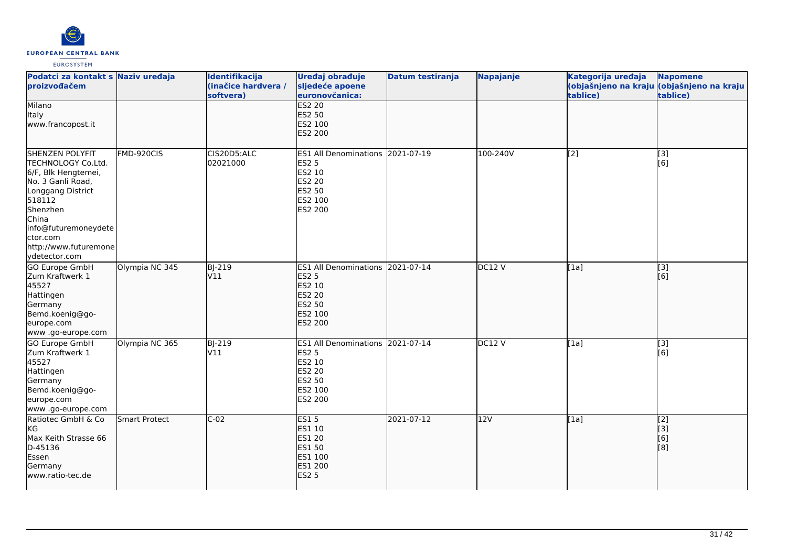

| Podatci za kontakt s Naziv uređaja<br>proizvođačem                                                                                                                                                                         |                | Identifikacija<br>(inačice hardvera /<br>softvera) | Uređaj obrađuje<br>sljedeće apoene<br>euronovčanica:                                                           | Datum testiranja | Napajanje | Kategorija uređaja<br>tablice) | <b>Napomene</b><br>(objašnjeno na kraju (objašnjeno na kraju<br>tablice) |
|----------------------------------------------------------------------------------------------------------------------------------------------------------------------------------------------------------------------------|----------------|----------------------------------------------------|----------------------------------------------------------------------------------------------------------------|------------------|-----------|--------------------------------|--------------------------------------------------------------------------|
| Milano<br>Italy<br>www.francopost.it                                                                                                                                                                                       |                |                                                    | <b>ES2 20</b><br>ES2 50<br>ES2 100<br><b>ES2 200</b>                                                           |                  |           |                                |                                                                          |
| <b>SHENZEN POLYFIT</b><br>TECHNOLOGY Co.Ltd.<br>6/F, Blk Hengtemei,<br>No. 3 Ganli Road,<br>Longgang District<br>518112<br>Shenzhen<br>China<br>info@futuremoneydete<br>ctor.com<br>http://www.futuremone<br>ydetector.com | FMD-920CIS     | CIS20D5:ALC<br>02021000                            | ES1 All Denominations 2021-07-19<br><b>ES2 5</b><br>ES2 10<br><b>ES2 20</b><br>ES2 50<br>ES2 100<br>ES2 200    |                  | 100-240V  | [2]                            | [3]<br>[6]                                                               |
| <b>GO Europe GmbH</b><br>Zum Kraftwerk 1<br>45527<br>Hattingen<br>Germany<br>Bemd.koenig@go-<br>europe.com<br>www.go-europe.com                                                                                            | Olympia NC 345 | <b>BJ-219</b><br>V11                               | <b>ES1 All Denominations</b><br><b>ES2 5</b><br>ES2 10<br><b>ES2 20</b><br><b>ES2 50</b><br>ES2 100<br>ES2 200 | 2021-07-14       | DC12V     | [[1a]                          | $\overline{[3]}$<br>[[6]                                                 |
| GO Europe GmbH<br>Zum Kraftwerk 1<br>45527<br>Hattingen<br>Germany<br>Bemd.koenig@go-<br>europe.com<br>www.go-europe.com                                                                                                   | Olympia NC 365 | <b>BJ-219</b><br>V11                               | <b>ES1 All Denominations</b><br><b>ES2 5</b><br>ES2 10<br><b>ES2 20</b><br>ES2 50<br>ES2 100<br>ES2 200        | 2021-07-14       | DC12V     | [1a]                           | [3]<br>[6]                                                               |
| Ratiotec GmbH & Co<br>kG<br>Max Keith Strasse 66<br>D-45136<br>Essen<br>Germany<br>www.ratio-tec.de                                                                                                                        | Smart Protect  | $C-02$                                             | <b>ES15</b><br><b>ES1 10</b><br>ES1 20<br><b>ES1 50</b><br>ES1 100<br>ES1 200<br><b>ES2 5</b>                  | 2021-07-12       | 12V       | [1a]                           | [2]<br>[[3]<br>[6]<br>[8]                                                |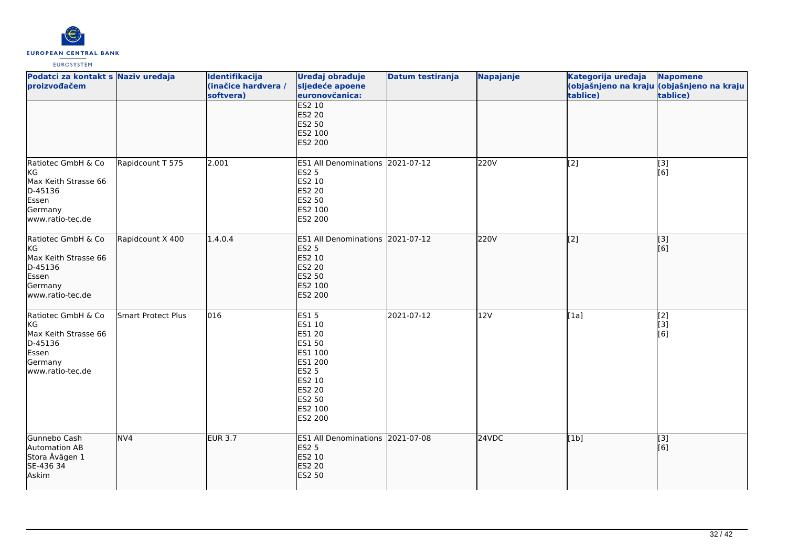

| Podatci za kontakt s Naziv uređaja<br>proizvođačem                                                  |                    | Identifikacija<br>(inačice hardvera /<br>softvera) | Uređaj obrađuje<br>sljedeće apoene<br>euronovčanica:                                                                         | Datum testiranja | Napajanje | Kategorija uređaja<br>tablice) | <b>Napomene</b><br>(objašnjeno na kraju (objašnjeno na kraju<br>tablice) |
|-----------------------------------------------------------------------------------------------------|--------------------|----------------------------------------------------|------------------------------------------------------------------------------------------------------------------------------|------------------|-----------|--------------------------------|--------------------------------------------------------------------------|
|                                                                                                     |                    |                                                    | <b>ES2 10</b><br><b>ES2 20</b><br>ES2 50<br>ES2 100<br><b>ES2 200</b>                                                        |                  |           |                                |                                                                          |
| Ratiotec GmbH & Co<br>KG<br>Max Keith Strasse 66<br>D-45136<br>Essen<br>Germany<br>www.ratio-tec.de | Rapidcount T 575   | 2.001                                              | ES1 All Denominations 2021-07-12<br><b>ES2 5</b><br>ES2 10<br>ES2 20<br><b>ES2 50</b><br>ES2 100<br>ES2 200                  |                  | 220V      | [2]                            | [3]<br>[6]                                                               |
| Ratiotec GmbH & Co<br>KG<br>Max Keith Strasse 66<br>D-45136<br>Essen<br>Germany<br>www.ratio-tec.de | Rapidcount X 400   | 1.4.0.4                                            | <b>ES1 All Denominations</b><br><b>ES2 5</b><br>ES2 10<br><b>ES2 20</b><br>ES2 50<br>ES2 100<br><b>ES2 200</b>               | 2021-07-12       | 220V      | $\overline{[2]}$               | $\overline{[}3]$<br>[6]                                                  |
| Ratiotec GmbH & Co<br>KG<br>Max Keith Strasse 66<br>D-45136<br>Essen<br>Germany<br>www.ratio-tec.de | Smart Protect Plus | $ 016\rangle$                                      | ES15<br>ES1 10<br>ES1 20<br>ES1 50<br>ES1 100<br>ES1 200<br><b>ES2 5</b><br>ES2 10<br>ES2 20<br>ES2 50<br>ES2 100<br>ES2 200 | 2021-07-12       | 12V       | [1a]                           | [2]<br>[3]<br>[6]                                                        |
| Gunnebo Cash<br>Automation AB<br>Stora Åvägen 1<br>SE-436 34<br>Askim                               | NVA                | <b>EUR 3.7</b>                                     | ES1 All Denominations 2021-07-08<br><b>ES2 5</b><br>ES2 10<br><b>ES2 20</b><br><b>ES2 50</b>                                 |                  | 24VDC     | [1b]                           | $\overline{[}3]$<br>[6]                                                  |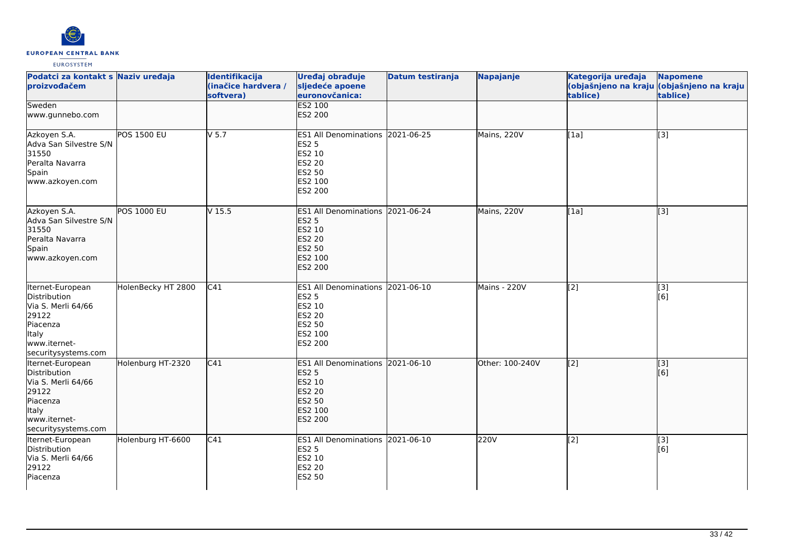

| Podatci za kontakt s Naziv uređaja<br>proizvođačem                                                                                 |                    | Identifikacija<br>(inačice hardvera /<br>softvera) | Uređaj obrađuje<br>sljedeće apoene<br>euronovčanica:                                                                      | <b>Datum testiranja</b> | Napajanje       | Kategorija uređaja<br>tablice) | <b>Napomene</b><br>(objašnjeno na kraju <i>(objašnjeno na kraju</i><br>tablice) |
|------------------------------------------------------------------------------------------------------------------------------------|--------------------|----------------------------------------------------|---------------------------------------------------------------------------------------------------------------------------|-------------------------|-----------------|--------------------------------|---------------------------------------------------------------------------------|
| Sweden<br>www.gunnebo.com                                                                                                          |                    |                                                    | <b>ES2 100</b><br>ES2 200                                                                                                 |                         |                 |                                |                                                                                 |
| Azkoyen S.A.<br>Adva San Silvestre S/N<br>31550<br>Peralta Navarra<br>Spain<br>www.azkoyen.com                                     | <b>POS 1500 EU</b> | $V$ 5.7                                            | ES1 All Denominations 2021-06-25<br><b>ES2 5</b><br>ES2 10<br><b>ES2 20</b><br>ES2 50<br>ES2 100<br>ES2 200               |                         | Mains, 220V     | $\overline{[1a]}$              | [3]                                                                             |
| Azkoyen S.A.<br>Adva San Silvestre S/N<br>31550<br>Peralta Navarra<br>Spain<br>www.azkoyen.com                                     | <b>POS 1000 EU</b> | V <sub>15.5</sub>                                  | ES1 All Denominations 2021-06-24<br><b>ES2 5</b><br>ES2 10<br><b>ES2 20</b><br><b>ES2 50</b><br>ES2 100<br><b>ES2 200</b> |                         | Mains, 220V     | [1a]                           | $\overline{[}3]$                                                                |
| Iternet-European<br>Distribution<br>Via S. Merli 64/66<br>29122<br>Piacenza<br><b>Italy</b><br>www.iternet-<br>securitysystems.com | HolenBecky HT 2800 | C <sub>41</sub>                                    | ES1 All Denominations 2021-06-10<br><b>ES2 5</b><br>ES2 10<br><b>ES2 20</b><br>ES2 50<br>ES2 100<br>ES2 200               |                         | Mains - 220V    | $\overline{[2]}$               | $\overline{[3]}$<br>[6]                                                         |
| Iternet-European<br>Distribution<br>Via S. Merli 64/66<br>29122<br>Piacenza<br><b>Italy</b><br>www.iternet-<br>securitysystems.com | Holenburg HT-2320  | C41                                                | ES1 All Denominations 2021-06-10<br><b>ES2 5</b><br>ES2 10<br><b>ES2 20</b><br><b>ES2 50</b><br>ES2 100<br>ES2 200        |                         | Other: 100-240V | $\overline{[2]}$               | $\vert$ [3]<br>[6]                                                              |
| Iternet-European<br>Distribution<br>Via S. Merli 64/66<br>29122<br>Piacenza                                                        | Holenburg HT-6600  | $\overline{C41}$                                   | ES1 All Denominations 2021-06-10<br><b>ES2 5</b><br>ES2 10<br><b>ES2 20</b><br>ES2 50                                     |                         | 220V            | $\overline{[2]}$               | $\overline{[3]}$<br>[6]                                                         |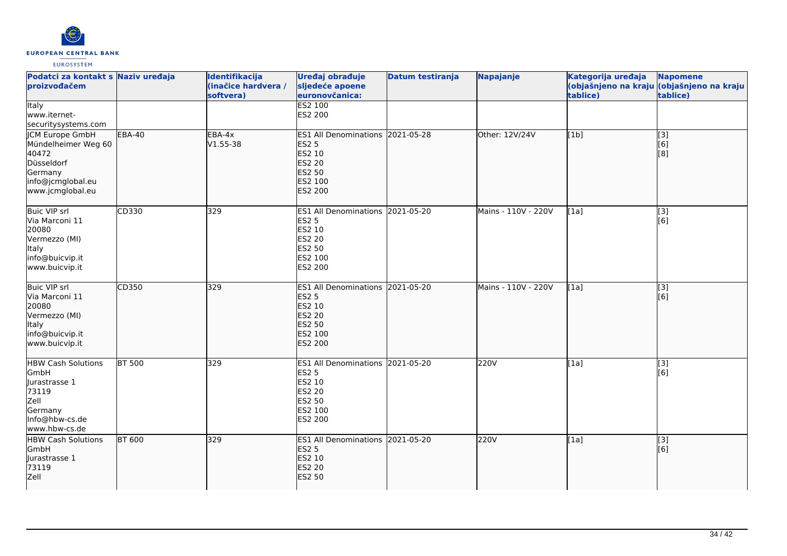

| Podatci za kontakt s Naziv uređaja<br>proizvođačem                                                                      |               | Identifikacija<br>(inačice hardvera /<br>softvera) | Uređaj obrađuje<br>sljedeće apoene<br>euronovčanica:                                                        | Datum testiranja | Napajanje           | Kategorija uređaja<br>tablice) | <b>Napomene</b><br>(objašnjeno na kraju (objašnjeno na kraju<br>tablice) |
|-------------------------------------------------------------------------------------------------------------------------|---------------|----------------------------------------------------|-------------------------------------------------------------------------------------------------------------|------------------|---------------------|--------------------------------|--------------------------------------------------------------------------|
| <b>Italy</b><br>www.iternet-<br>securitysystems.com                                                                     |               |                                                    | <b>ES2 100</b><br>ES2 200                                                                                   |                  |                     |                                |                                                                          |
| <b>CM Europe GmbH</b><br>Mündelheimer Weg 60<br>40472<br>Düsseldorf<br>Germany<br>info@jcmglobal.eu<br>www.jcmglobal.eu | <b>EBA-40</b> | EBA-4x<br>V1.55-38                                 | ES1 All Denominations 2021-05-28<br><b>ES2 5</b><br>ES2 10<br><b>ES2 20</b><br>ES2 50<br>ES2 100<br>ES2 200 |                  | Other: 12V/24V      | [1b]                           | $\overline{[3]}$<br>$\overline{[}6\overline{)}$<br>[8]                   |
| <b>Buic VIP srl</b><br>Via Marconi 11<br>20080<br>Vermezzo (MI)<br>Italy<br>info@buicvip.it<br>www.buicvip.it           | CD330         | 329                                                | ES1 All Denominations 2021-05-20<br><b>ES2 5</b><br>ES2 10<br><b>ES2 20</b><br>ES2 50<br>ES2 100<br>ES2 200 |                  | Mains - 110V - 220V | [1a]                           | $\overline{[3]}$<br>[6]                                                  |
| <b>Buic VIP srl</b><br>Via Marconi 11<br>20080<br>Vermezzo (MI)<br>Italy<br>info@buicvip.it<br>www.buicvip.it           | CD350         | 329                                                | ES1 All Denominations 2021-05-20<br><b>ES2 5</b><br>ES2 10<br><b>ES2 20</b><br>ES2 50<br>ES2 100<br>ES2 200 |                  | Mains - 110V - 220V | [1a]                           | [3]<br>[6]                                                               |
| <b>HBW Cash Solutions</b><br>GmbH<br>Jurastrasse 1<br>73119<br>Zell<br>Germany<br>Info@hbw-cs.de<br>www.hbw-cs.de       | <b>BT 500</b> | 329                                                | <b>ES1 All Denominations</b><br><b>ES2 5</b><br>ES2 10<br><b>ES2 20</b><br>ES2 50<br>ES2 100<br>ES2 200     | 2021-05-20       | 220V                | [1a]                           | [3]<br>[6]                                                               |
| <b>HBW Cash Solutions</b><br>GmbH<br>Jurastrasse 1<br>73119<br>Zell                                                     | <b>BT 600</b> | 329                                                | ES1 All Denominations 2021-05-20<br><b>ES2 5</b><br>ES2 10<br><b>ES2 20</b><br><b>ES2 50</b>                |                  | 220V                | [1a]                           | [3]<br>[6]                                                               |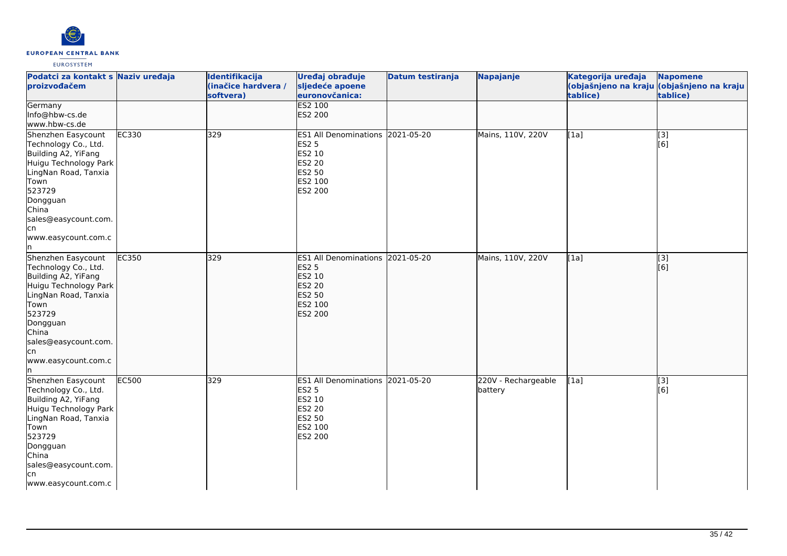

| Podatci za kontakt s Naziv uređaja<br>proizvođačem                                                                                                                                                                     |       | Identifikacija<br>(inačice hardvera /<br>softvera) | Uređaj obrađuje<br>sljedeće apoene<br>euronovčanica:                                                           | Datum testiranja | <b>Napajanje</b>               | Kategorija uređaja<br>tablice) | <b>Napomene</b><br>(objašnjeno na kraju (objašnjeno na kraju<br>tablice) |
|------------------------------------------------------------------------------------------------------------------------------------------------------------------------------------------------------------------------|-------|----------------------------------------------------|----------------------------------------------------------------------------------------------------------------|------------------|--------------------------------|--------------------------------|--------------------------------------------------------------------------|
| Germany<br>Info@hbw-cs.de<br>www.hbw-cs.de                                                                                                                                                                             |       |                                                    | <b>ES2 100</b><br><b>ES2 200</b>                                                                               |                  |                                |                                |                                                                          |
| Shenzhen Easycount<br>Technology Co., Ltd.<br>Building A2, YiFang<br>Huigu Technology Park<br>LingNan Road, Tanxia<br>Town<br>523729<br>Dongguan<br>China<br>sales@easycount.com.<br>lcn<br>www.easycount.com.c<br>In. | EC330 | 329                                                | ES1 All Denominations 2021-05-20<br><b>ES2 5</b><br>ES2 10<br><b>ES2 20</b><br>ES2 50<br>ES2 100<br>ES2 200    |                  | Mains, 110V, 220V              | [1a]                           | [3]<br>[6]                                                               |
| Shenzhen Easycount<br>Technology Co., Ltd.<br>Building A2, YiFang<br>Huigu Technology Park<br>LingNan Road, Tanxia<br>Town<br>523729<br>Dongguan<br>China<br>sales@easycount.com.<br>lcn<br>www.easycount.com.c<br>In. | EC350 | 329                                                | <b>ES1 All Denominations</b><br><b>ES2 5</b><br>ES2 10<br><b>ES2 20</b><br>ES2 50<br>ES2 100<br><b>ES2 200</b> | 2021-05-20       | Mains, 110V, 220V              | [1a]                           | [3]<br>[6]                                                               |
| Shenzhen Easycount<br>Technology Co., Ltd.<br>Building A2, YiFang<br>Huigu Technology Park<br>LingNan Road, Tanxia<br>Town<br>523729<br>Dongguan<br>China<br>sales@easycount.com.<br>lcn<br>www.easycount.com.c        | EC500 | 329                                                | ES1 All Denominations 2021-05-20<br><b>ES2 5</b><br>ES2 10<br><b>ES2 20</b><br>ES2 50<br>ES2 100<br>ES2 200    |                  | 220V - Rechargeable<br>battery | [1a]                           | [3]<br>[6]                                                               |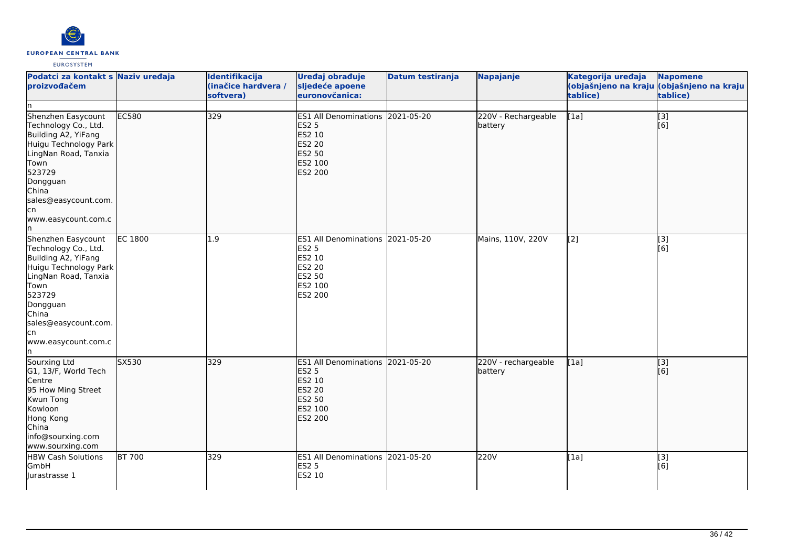

| Podatci za kontakt s Naziv uređaja<br>proizvođačem<br>In.                                                                                                                                                              |                | Identifikacija<br>(inačice hardvera /<br>softvera) | Uređaj obrađuje<br>sljedeće apoene<br>euronovčanica:                                                        | Datum testiranja | Napajanje                      | Kategorija uređaja<br>tablice) | Napomene<br>(objašnjeno na kraju <mark>(objašnjeno na kraju </mark><br>tablice) |
|------------------------------------------------------------------------------------------------------------------------------------------------------------------------------------------------------------------------|----------------|----------------------------------------------------|-------------------------------------------------------------------------------------------------------------|------------------|--------------------------------|--------------------------------|---------------------------------------------------------------------------------|
| Shenzhen Easycount<br>Technology Co., Ltd.<br>Building A2, YiFang<br>Huigu Technology Park<br>LingNan Road, Tanxia<br>Town<br>523729<br>Dongguan<br>China<br>sales@easycount.com.<br>lcn<br>www.easycount.com.c<br>In. | EC580          | 329                                                | ES1 All Denominations 2021-05-20<br><b>ES2 5</b><br>ES2 10<br>ES2 20<br>ES2 50<br>ES2 100<br><b>ES2 200</b> |                  | 220V - Rechargeable<br>battery | [1a]                           | [3]<br>[6]                                                                      |
| Shenzhen Easycount<br>Technology Co., Ltd.<br>Building A2, YiFang<br>Huigu Technology Park<br>LingNan Road, Tanxia<br>Town<br>523729<br>Dongguan<br>China<br>sales@easycount.com.<br>lcn<br>www.easycount.com.c<br>In. | <b>EC 1800</b> | 1.9                                                | ES1 All Denominations 2021-05-20<br><b>ES2 5</b><br>ES2 10<br><b>ES2 20</b><br>ES2 50<br>ES2 100<br>ES2 200 |                  | Mains, 110V, 220V              | $[2]$                          | $\overline{[}3]$<br>[6]                                                         |
| Sourxing Ltd<br>G1, 13/F, World Tech<br>Centre<br>95 How Ming Street<br>Kwun Tong<br>Kowloon<br>Hong Kong<br>China<br>info@sourxing.com<br>www.sourxing.com                                                            | SX530          | 329                                                | ES1 All Denominations 2021-05-20<br><b>ES2 5</b><br>ES2 10<br>ES2 20<br>ES2 50<br>ES2 100<br><b>ES2 200</b> |                  | 220V - rechargeable<br>battery | [1a]                           | $\overline{[3]}$<br>[6]                                                         |
| <b>HBW Cash Solutions</b><br>GmbH<br>Jurastrasse 1                                                                                                                                                                     | <b>BT 700</b>  | 329                                                | ES1 All Denominations 2021-05-20<br><b>ES2 5</b><br>ES2 10                                                  |                  | 220V                           | $\overline{[1a]}$              | $\overline{[3]}$<br>[6]                                                         |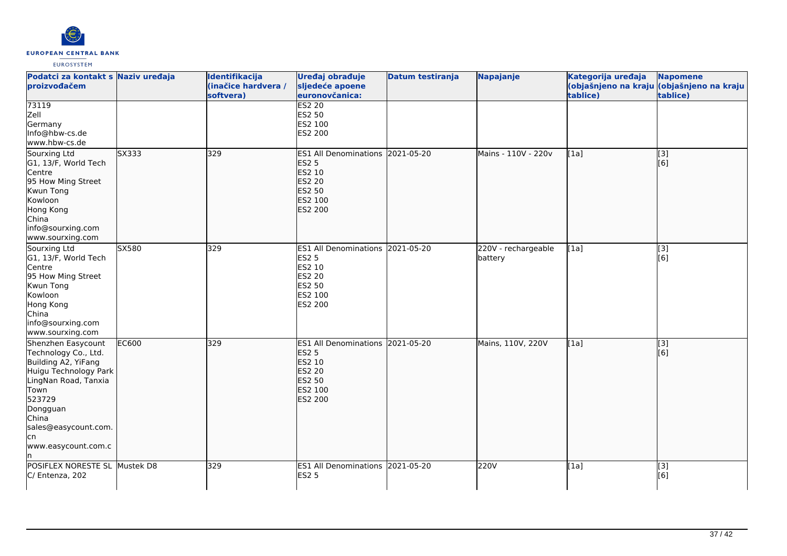

| Podatci za kontakt s Naziv uređaja<br>proizvođačem                                                                                                                                                              |       | Identifikacija<br>(inačice hardvera /<br>softvera) | Uređaj obrađuje<br>sljedeće apoene<br>euronovčanica:                                                        | Datum testiranja | Napajanje                      | Kategorija uređaja<br>tablice) | <b>Napomene</b><br>(objašnjeno na kraju (objašnjeno na kraju<br>tablice) |
|-----------------------------------------------------------------------------------------------------------------------------------------------------------------------------------------------------------------|-------|----------------------------------------------------|-------------------------------------------------------------------------------------------------------------|------------------|--------------------------------|--------------------------------|--------------------------------------------------------------------------|
| 73119<br>Zell<br>Germany<br>Info@hbw-cs.de<br>www.hbw-cs.de                                                                                                                                                     |       |                                                    | <b>ES2 20</b><br>ES2 50<br>ES2 100<br>ES2 200                                                               |                  |                                |                                |                                                                          |
| Sourxing Ltd<br>G1, 13/F, World Tech<br>Centre<br>95 How Ming Street<br>Kwun Tong<br>Kowloon<br>Hong Kong<br>China<br>info@sourxing.com<br>www.sourxing.com                                                     | SX333 | 329                                                | ES1 All Denominations 2021-05-20<br><b>ES2 5</b><br>ES2 10<br>ES2 20<br>ES2 50<br>ES2 100<br><b>ES2 200</b> |                  | Mains - 110V - 220v            | [1a]                           | [3]<br>[6]                                                               |
| Sourxing Ltd<br>G1, 13/F, World Tech<br>Centre<br>95 How Ming Street<br>Kwun Tong<br>Kowloon<br>Hong Kong<br>China<br>info@sourxing.com<br>www.sourxing.com                                                     | SX580 | 329                                                | ES1 All Denominations 2021-05-20<br><b>ES2 5</b><br>ES2 10<br>ES2 20<br>ES2 50<br>ES2 100<br>ES2 200        |                  | 220V - rechargeable<br>battery | [1a]                           | $\overline{[}3]$<br>[6]                                                  |
| Shenzhen Easycount<br>Technology Co., Ltd.<br>Building A2, YiFang<br>Huigu Technology Park<br>LingNan Road, Tanxia<br>Town<br>523729<br>Dongguan<br>China<br>sales@easycount.com.<br>lcn<br>www.easycount.com.c | EC600 | 329                                                | ES1 All Denominations 2021-05-20<br><b>ES2 5</b><br>ES2 10<br>ES2 20<br><b>ES2 50</b><br>ES2 100<br>ES2 200 |                  | Mains, 110V, 220V              | [1a]                           | $\vert$ [3]<br>[6]                                                       |
| POSIFLEX NORESTE SL Mustek D8<br>C/ Entenza, 202                                                                                                                                                                |       | 329                                                | ES1 All Denominations 2021-05-20<br><b>ES2 5</b>                                                            |                  | 220V                           | [1a]                           | [3]<br>[6]                                                               |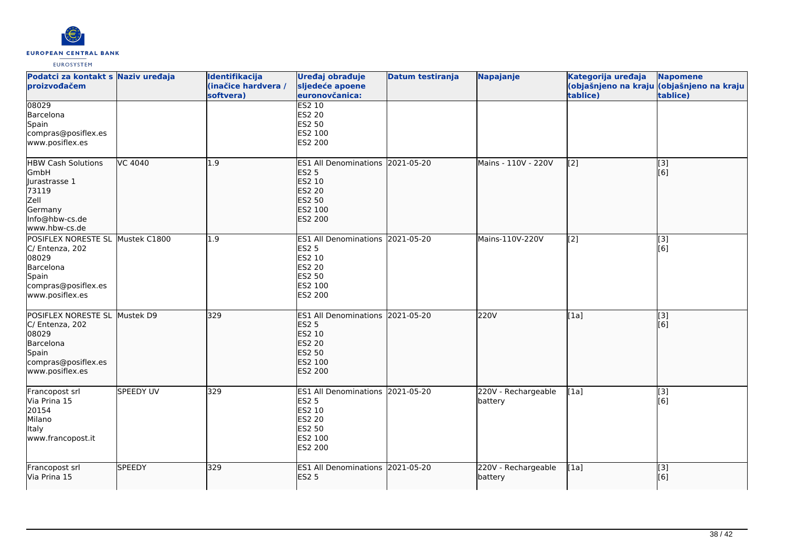

| Podatci za kontakt s Naziv uređaja<br>proizvođačem                                                                           |                  | Identifikacija<br>(inačice hardvera /<br>softvera) | Uređaj obrađuje<br>sljedeće apoene<br>euronovčanica:                                                               | Datum testiranja | Napajanje                      | Kategorija uređaja<br>tablice) | <b>Napomene</b><br>(objašnjeno na kraju (objašnjeno na kraju<br>tablice) |
|------------------------------------------------------------------------------------------------------------------------------|------------------|----------------------------------------------------|--------------------------------------------------------------------------------------------------------------------|------------------|--------------------------------|--------------------------------|--------------------------------------------------------------------------|
| 08029<br>Barcelona<br>Spain<br>compras@posiflex.es<br>www.posiflex.es                                                        |                  |                                                    | <b>ES2 10</b><br><b>ES2 20</b><br>ES2 50<br>ES2 100<br>ES2 200                                                     |                  |                                |                                |                                                                          |
| <b>HBW Cash Solutions</b><br>GmbH<br>Jurastrasse 1<br>73119<br>Zell<br>Germany<br>Info@hbw-cs.de<br>www.hbw-cs.de            | VC 4040          | 1.9                                                | ES1 All Denominations 2021-05-20<br><b>ES2 5</b><br>ES2 10<br><b>ES2 20</b><br><b>ES2 50</b><br>ES2 100<br>ES2 200 |                  | Mains - 110V - 220V            | $\left[2\right]$               | [[3]<br>[6]                                                              |
| POSIFLEX NORESTE SL Mustek C1800<br>C/ Entenza, 202<br>08029<br>Barcelona<br>Spain<br>compras@posiflex.es<br>www.posiflex.es |                  | 1.9                                                | ES1 All Denominations 2021-05-20<br><b>ES2 5</b><br><b>ES2 10</b><br><b>ES2 20</b><br>ES2 50<br>ES2 100<br>ES2 200 |                  | Mains-110V-220V                | [2]                            | $\overline{[3]}$<br>[6]                                                  |
| POSIFLEX NORESTE SL Mustek D9<br>C/ Entenza, 202<br>08029<br>Barcelona<br>Spain<br>compras@posiflex.es<br>www.posiflex.es    |                  | 329                                                | ES1 All Denominations 2021-05-20<br><b>ES2 5</b><br>ES2 10<br><b>ES2 20</b><br>ES2 50<br>ES2 100<br>ES2 200        |                  | 220V                           | [1a]                           | [3]<br>[6]                                                               |
| Francopost srl<br>Via Prina 15<br>20154<br>Milano<br>Italy<br>www.francopost.it                                              | <b>SPEEDY UV</b> | 329                                                | ES1 All Denominations 2021-05-20<br><b>ES2 5</b><br>ES2 10<br><b>ES2 20</b><br><b>ES2 50</b><br>ES2 100<br>ES2 200 |                  | 220V - Rechargeable<br>battery | [1a]                           | [3]<br>[6]                                                               |
| Francopost srl<br>Via Prina 15                                                                                               | <b>SPEEDY</b>    | 329                                                | ES1 All Denominations 2021-05-20<br><b>ES2 5</b>                                                                   |                  | 220V - Rechargeable<br>battery | [1a]                           | [3]<br>[6]                                                               |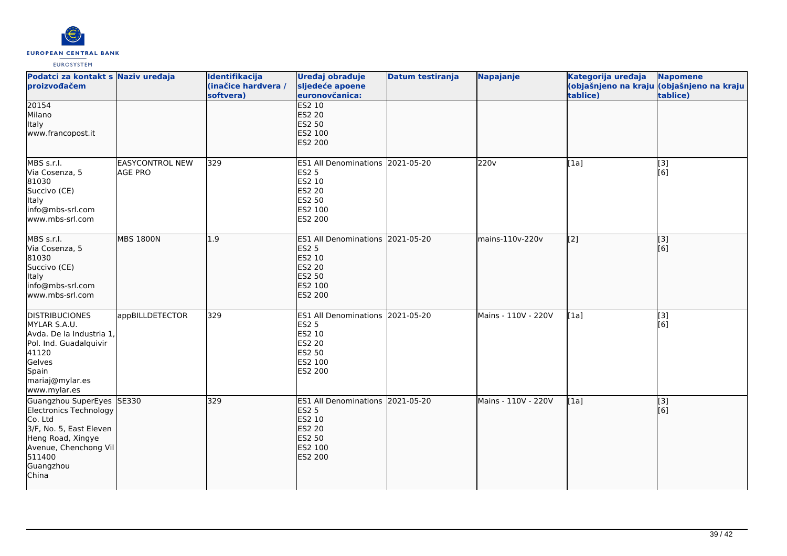

| Podatci za kontakt s Naziv uređaja<br>proizvođačem                                                                                                                      |                                          | Identifikacija<br>(inačice hardvera /<br>softvera) | Uređaj obrađuje<br>sljedeće apoene<br>euronovčanica:                                                                      | Datum testiranja | Napajanje           | Kategorija uređaja<br>tablice) | <b>Napomene</b><br>(objašnjeno na kraju (objašnjeno na kraju<br>tablice) |
|-------------------------------------------------------------------------------------------------------------------------------------------------------------------------|------------------------------------------|----------------------------------------------------|---------------------------------------------------------------------------------------------------------------------------|------------------|---------------------|--------------------------------|--------------------------------------------------------------------------|
| 20154<br>Milano<br>Italy<br>www.francopost.it                                                                                                                           |                                          |                                                    | <b>ES2 10</b><br><b>ES2 20</b><br><b>ES2 50</b><br>ES2 100<br>ES2 200                                                     |                  |                     |                                |                                                                          |
| MBS s.r.l.<br>Via Cosenza, 5<br>81030<br>Succivo (CE)<br>Italy<br>info@mbs-srl.com<br>www.mbs-srl.com                                                                   | <b>EASYCONTROL NEW</b><br><b>AGE PRO</b> | 329                                                | <b>ES1 All Denominations</b><br><b>ES2 5</b><br>ES2 10<br>ES2 20<br><b>ES2 50</b><br>ES2 100<br>ES2 200                   | 2021-05-20       | 220v                | [1a]                           | [3]<br>[6]                                                               |
| MBS s.r.l.<br>Via Cosenza, 5<br>81030<br>Succivo (CE)<br><b>Italy</b><br>info@mbs-srl.com<br>lwww.mbs-srl.com                                                           | <b>MBS 1800N</b>                         | $\overline{1.9}$                                   | ES1 All Denominations 2021-05-20<br><b>ES2 5</b><br>ES2 10<br><b>ES2 20</b><br><b>ES2 50</b><br>ES2 100<br><b>ES2 200</b> |                  | mains-110v-220v     | $\overline{[2]}$               | $\overline{[}3]$<br>[[6]                                                 |
| <b>DISTRIBUCIONES</b><br>MYLAR S.A.U.<br>Avda. De la Industria 1,<br>Pol. Ind. Guadalquivir<br>41120<br>Gelves<br>Spain<br>mariaj@mylar.es<br>www.mylar.es              | appBILLDETECTOR                          | 329                                                | ES1 All Denominations 2021-05-20<br><b>ES2 5</b><br>ES2 10<br><b>ES2 20</b><br>ES2 50<br>ES2 100<br>ES2 200               |                  | Mains - 110V - 220V | [1a]                           | $\boxed{[3]}$<br>[6]                                                     |
| Guangzhou SuperEyes SE330<br>Electronics Technology<br>Co. Ltd<br>3/F, No. 5, East Eleven<br>Heng Road, Xingye<br>Avenue, Chenchong Vil<br>511400<br>Guangzhou<br>China |                                          | 329                                                | ES1 All Denominations 2021-05-20<br><b>ES2 5</b><br>ES2 10<br><b>ES2 20</b><br>ES2 50<br>ES2 100<br>ES2 200               |                  | Mains - 110V - 220V | [1a]                           | [3]<br>[6]                                                               |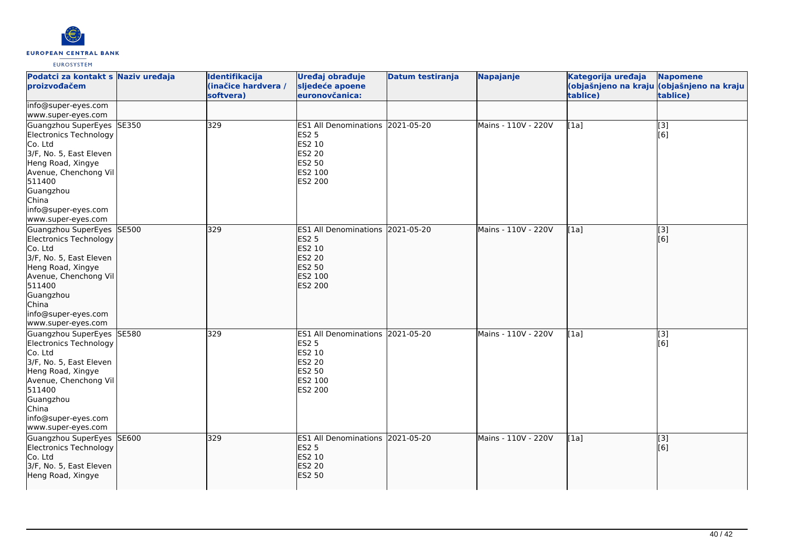

| Podatci za kontakt s Naziv uređaja<br>proizvođačem                                                                                                                                                                   |       | Identifikacija<br>(inačice hardvera /<br>softvera) | Uređaj obrađuje<br>sljedeće apoene<br>euronovčanica:                                                           | <b>Datum testiranja</b> | <b>Napajanje</b>    | Kategorija uređaja<br>tablice) | <b>Napomene</b><br>(objašnjeno na kraju (objašnjeno na kraju<br>tablice) |
|----------------------------------------------------------------------------------------------------------------------------------------------------------------------------------------------------------------------|-------|----------------------------------------------------|----------------------------------------------------------------------------------------------------------------|-------------------------|---------------------|--------------------------------|--------------------------------------------------------------------------|
| info@super-eyes.com<br>www.super-eyes.com                                                                                                                                                                            |       |                                                    |                                                                                                                |                         |                     |                                |                                                                          |
| Guangzhou SuperEyes SE350<br>Electronics Technology<br>Co. Ltd<br>3/F, No. 5, East Eleven<br>Heng Road, Xingye<br>Avenue, Chenchong Vil<br>511400<br>Guangzhou<br>China<br>info@super-eyes.com<br>www.super-eyes.com |       | 329                                                | ES1 All Denominations 2021-05-20<br><b>ES2 5</b><br>ES2 10<br><b>ES2 20</b><br>ES2 50<br>ES2 100<br>ES2 200    |                         | Mains - 110V - 220V | [1a]                           | [3]<br>[6]                                                               |
| Guangzhou SuperEyes SE500<br>Electronics Technology<br>Co. Ltd<br>3/F, No. 5, East Eleven<br>Heng Road, Xingye<br>Avenue, Chenchong Vil<br>511400<br>Guangzhou<br>China<br>info@super-eyes.com<br>www.super-eyes.com |       | 329                                                | <b>ES1 All Denominations</b><br><b>ES2 5</b><br>ES2 10<br><b>ES2 20</b><br><b>ES2 50</b><br>ES2 100<br>ES2 200 | 2021-05-20              | Mains - 110V - 220V | [1a]                           | [3]<br>[6]                                                               |
| Guangzhou SuperEyes SE580<br>Electronics Technology<br>Co. Ltd<br>3/F, No. 5, East Eleven<br>Heng Road, Xingye<br>Avenue, Chenchong Vil<br>511400<br>Guangzhou<br>China<br>info@super-eyes.com<br>www.super-eyes.com |       | 329                                                | ES1 All Denominations 2021-05-20<br><b>ES2 5</b><br>ES2 10<br>ES2 20<br>ES2 50<br>ES2 100<br>ES2 200           |                         | Mains - 110V - 220V | [1a]                           | $\overline{[3]}$<br>[6]                                                  |
| Guangzhou SuperEyes<br>Electronics Technology<br>Co. Ltd<br>3/F, No. 5, East Eleven<br>Heng Road, Xingye                                                                                                             | SE600 | 329                                                | ES1 All Denominations 2021-05-20<br><b>ES2 5</b><br>ES2 10<br><b>ES2 20</b><br><b>ES2 50</b>                   |                         | Mains - 110V - 220V | [1a]                           | $\overline{[}3]$<br>[6]                                                  |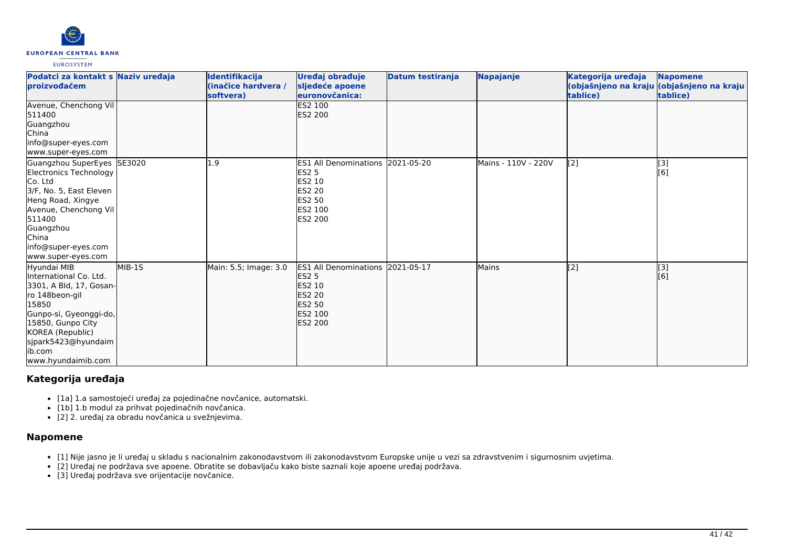

| Podatci za kontakt s Naziv uređaja<br>proizvođačem                                                                                                                                                                     |        | Identifikacija<br>(inačice hardvera /<br>softvera) | Uređaj obrađuje<br>sljedeće apoene<br>euronovčanica:                                                                               | Datum testiranja | Napajanje           | Kategorija uređaja<br>tablice) | <b>Napomene</b><br>(objašnjeno na kraju (objašnjeno na kraju<br>tablice) |
|------------------------------------------------------------------------------------------------------------------------------------------------------------------------------------------------------------------------|--------|----------------------------------------------------|------------------------------------------------------------------------------------------------------------------------------------|------------------|---------------------|--------------------------------|--------------------------------------------------------------------------|
| Avenue, Chenchong Vil<br>511400<br>Guangzhou<br><b>China</b><br>info@super-eyes.com<br>www.super-eyes.com                                                                                                              |        |                                                    | <b>ES2 100</b><br><b>ES2 200</b>                                                                                                   |                  |                     |                                |                                                                          |
| Guangzhou SuperEyes SE3020<br>Electronics Technology<br>Co. Ltd<br>3/F, No. 5, East Eleven<br>Heng Road, Xingye<br>Avenue, Chenchong Vil<br>511400<br>Guangzhou<br>China<br>info@super-eyes.com<br>www.super-eyes.com  |        | .9                                                 | ES1 All Denominations 2021-05-20<br><b>ES2 5</b><br><b>ES2 10</b><br><b>IES2 20</b><br><b>ES2 50</b><br><b>IES2 100</b><br>ES2 200 |                  | Mains - 110V - 220V | $\left[2\right]$               | $\begin{bmatrix} 3 \\ 6 \end{bmatrix}$                                   |
| Hyundai MIB<br>International Co. Ltd.<br>3301, A Bld, 17, Gosan-<br>ro 148beon-gil<br>15850<br>Gunpo-si, Gyeonggi-do,<br>15850, Gunpo City<br>KOREA (Republic)<br>sjpark5423@hyundaim<br>lib.com<br>www.hyundaimib.com | MIB-1S | Main: 5.5; Image: 3.0                              | ES1 All Denominations 2021-05-17<br><b>ES2 5</b><br><b>ES2 10</b><br>ES2 20<br><b>ES2 50</b><br><b>ES2 100</b><br><b>ES2 200</b>   |                  | <b>Mains</b>        | [2]                            | $\vert$ [3]<br>[6]                                                       |

# **Kategorija uređaja**

- [1a] 1.a samostojeći uređaj za pojedinačne novčanice, automatski.
- [1b] 1.b modul za prihvat pojedinačnih novčanica.
- [2] 2. uređaj za obradu novčanica u svežnjevima.

# **Napomene**

- [1] Nije jasno je li uređaj u skladu s nacionalnim zakonodavstvom ili zakonodavstvom Europske unije u vezi sa zdravstvenim i sigurnosnim uvjetima.
- [2] Uređaj ne podržava sve apoene. Obratite se dobavljaču kako biste saznali koje apoene uređaj podržava.
- [3] Uređaj podržava sve orijentacije novčanice.